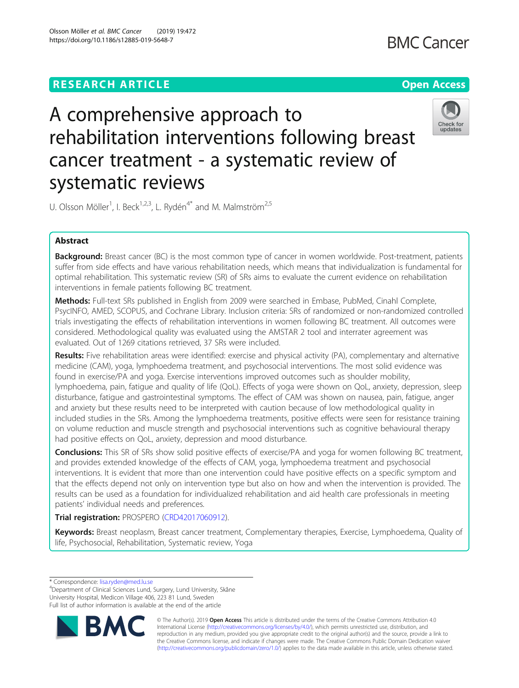### **RESEARCH ARTICLE Example 2018 12:30 THE Open Access**

## **BMC Cancer**

# A comprehensive approach to rehabilitation interventions following breast cancer treatment - a systematic review of systematic reviews



U. Olsson Möller<sup>1</sup>, I. Beck<sup>1,2,3</sup>, L. Rydén<sup>4\*</sup> and M. Malmström<sup>2,5</sup>

### Abstract

Background: Breast cancer (BC) is the most common type of cancer in women worldwide. Post-treatment, patients suffer from side effects and have various rehabilitation needs, which means that individualization is fundamental for optimal rehabilitation. This systematic review (SR) of SRs aims to evaluate the current evidence on rehabilitation interventions in female patients following BC treatment.

Methods: Full-text SRs published in English from 2009 were searched in Embase, PubMed, Cinahl Complete, PsycINFO, AMED, SCOPUS, and Cochrane Library. Inclusion criteria: SRs of randomized or non-randomized controlled trials investigating the effects of rehabilitation interventions in women following BC treatment. All outcomes were considered. Methodological quality was evaluated using the AMSTAR 2 tool and interrater agreement was evaluated. Out of 1269 citations retrieved, 37 SRs were included.

Results: Five rehabilitation areas were identified: exercise and physical activity (PA), complementary and alternative medicine (CAM), yoga, lymphoedema treatment, and psychosocial interventions. The most solid evidence was found in exercise/PA and yoga. Exercise interventions improved outcomes such as shoulder mobility, lymphoedema, pain, fatigue and quality of life (QoL). Effects of yoga were shown on QoL, anxiety, depression, sleep disturbance, fatigue and gastrointestinal symptoms. The effect of CAM was shown on nausea, pain, fatigue, anger and anxiety but these results need to be interpreted with caution because of low methodological quality in included studies in the SRs. Among the lymphoedema treatments, positive effects were seen for resistance training on volume reduction and muscle strength and psychosocial interventions such as cognitive behavioural therapy had positive effects on QoL, anxiety, depression and mood disturbance.

Conclusions: This SR of SRs show solid positive effects of exercise/PA and yoga for women following BC treatment, and provides extended knowledge of the effects of CAM, yoga, lymphoedema treatment and psychosocial interventions. It is evident that more than one intervention could have positive effects on a specific symptom and that the effects depend not only on intervention type but also on how and when the intervention is provided. The results can be used as a foundation for individualized rehabilitation and aid health care professionals in meeting patients' individual needs and preferences.

### Trial registration: PROSPERO ([CRD42017060912\)](https://www.crd.york.ac.uk/prospero/display_record.php?RecordID=60912).

Keywords: Breast neoplasm, Breast cancer treatment, Complementary therapies, Exercise, Lymphoedema, Quality of life, Psychosocial, Rehabilitation, Systematic review, Yoga

\* Correspondence: [lisa.ryden@med.lu.se](mailto:lisa.ryden@med.lu.se) <sup>4</sup>

Department of Clinical Sciences Lund, Surgery, Lund University, Skåne University Hospital, Medicon Village 406, 223 81 Lund, Sweden Full list of author information is available at the end of the article



© The Author(s). 2019 **Open Access** This article is distributed under the terms of the Creative Commons Attribution 4.0 International License [\(http://creativecommons.org/licenses/by/4.0/](http://creativecommons.org/licenses/by/4.0/)), which permits unrestricted use, distribution, and reproduction in any medium, provided you give appropriate credit to the original author(s) and the source, provide a link to the Creative Commons license, and indicate if changes were made. The Creative Commons Public Domain Dedication waiver [\(http://creativecommons.org/publicdomain/zero/1.0/](http://creativecommons.org/publicdomain/zero/1.0/)) applies to the data made available in this article, unless otherwise stated.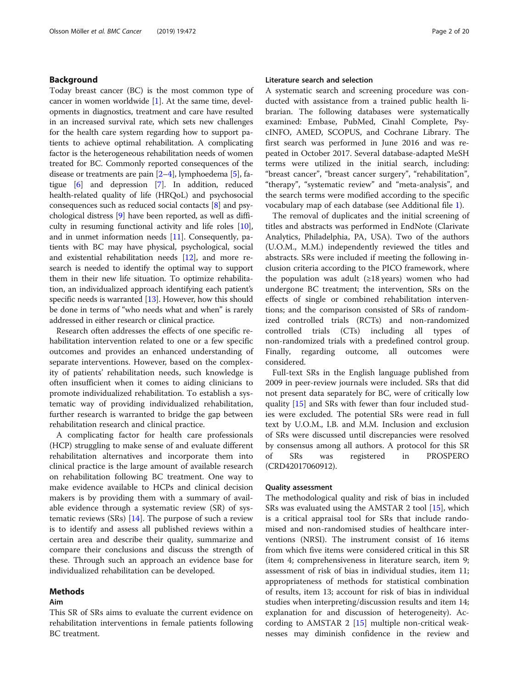#### Background

Today breast cancer (BC) is the most common type of cancer in women worldwide [[1](#page-17-0)]. At the same time, developments in diagnostics, treatment and care have resulted in an increased survival rate, which sets new challenges for the health care system regarding how to support patients to achieve optimal rehabilitation. A complicating factor is the heterogeneous rehabilitation needs of women treated for BC. Commonly reported consequences of the disease or treatments are pain [\[2](#page-17-0)–[4](#page-17-0)], lymphoedema [\[5](#page-17-0)], fatigue [[6](#page-17-0)] and depression [[7](#page-17-0)]. In addition, reduced health-related quality of life (HRQoL) and psychosocial consequences such as reduced social contacts [[8](#page-17-0)] and psychological distress [[9\]](#page-17-0) have been reported, as well as difficulty in resuming functional activity and life roles [[10](#page-17-0)], and in unmet information needs [\[11\]](#page-17-0). Consequently, patients with BC may have physical, psychological, social and existential rehabilitation needs [\[12\]](#page-18-0), and more research is needed to identify the optimal way to support them in their new life situation. To optimize rehabilitation, an individualized approach identifying each patient's specific needs is warranted [\[13](#page-18-0)]. However, how this should be done in terms of "who needs what and when" is rarely addressed in either research or clinical practice.

Research often addresses the effects of one specific rehabilitation intervention related to one or a few specific outcomes and provides an enhanced understanding of separate interventions. However, based on the complexity of patients' rehabilitation needs, such knowledge is often insufficient when it comes to aiding clinicians to promote individualized rehabilitation. To establish a systematic way of providing individualized rehabilitation, further research is warranted to bridge the gap between rehabilitation research and clinical practice.

A complicating factor for health care professionals (HCP) struggling to make sense of and evaluate different rehabilitation alternatives and incorporate them into clinical practice is the large amount of available research on rehabilitation following BC treatment. One way to make evidence available to HCPs and clinical decision makers is by providing them with a summary of available evidence through a systematic review (SR) of systematic reviews (SRs) [[14\]](#page-18-0). The purpose of such a review is to identify and assess all published reviews within a certain area and describe their quality, summarize and compare their conclusions and discuss the strength of these. Through such an approach an evidence base for individualized rehabilitation can be developed.

#### Methods

#### Aim

This SR of SRs aims to evaluate the current evidence on rehabilitation interventions in female patients following BC treatment.

#### Literature search and selection

A systematic search and screening procedure was conducted with assistance from a trained public health librarian. The following databases were systematically examined: Embase, PubMed, Cinahl Complete, PsycINFO, AMED, SCOPUS, and Cochrane Library. The first search was performed in June 2016 and was repeated in October 2017. Several database-adapted MeSH terms were utilized in the initial search, including: "breast cancer", "breast cancer surgery", "rehabilitation", "therapy", "systematic review" and "meta-analysis", and the search terms were modified according to the specific vocabulary map of each database (see Additional file [1\)](#page-17-0).

The removal of duplicates and the initial screening of titles and abstracts was performed in EndNote (Clarivate Analytics, Philadelphia, PA, USA). Two of the authors (U.O.M., M.M.) independently reviewed the titles and abstracts. SRs were included if meeting the following inclusion criteria according to the PICO framework, where the population was adult  $(≥18 \text{ years})$  women who had undergone BC treatment; the intervention, SRs on the effects of single or combined rehabilitation interventions; and the comparison consisted of SRs of randomized controlled trials (RCTs) and non-randomized controlled trials (CTs) including all types of non-randomized trials with a predefined control group. Finally, regarding outcome, all outcomes were considered.

Full-text SRs in the English language published from 2009 in peer-review journals were included. SRs that did not present data separately for BC, were of critically low quality [[15](#page-18-0)] and SRs with fewer than four included studies were excluded. The potential SRs were read in full text by U.O.M., I.B. and M.M. Inclusion and exclusion of SRs were discussed until discrepancies were resolved by consensus among all authors. A protocol for this SR of SRs was registered in PROSPERO (CRD42017060912).

#### Quality assessment

The methodological quality and risk of bias in included SRs was evaluated using the AMSTAR 2 tool [[15\]](#page-18-0), which is a critical appraisal tool for SRs that include randomised and non-randomised studies of healthcare interventions (NRSI). The instrument consist of 16 items from which five items were considered critical in this SR (item 4; comprehensiveness in literature search, item 9; assessment of risk of bias in individual studies, item 11; appropriateness of methods for statistical combination of results, item 13; account for risk of bias in individual studies when interpreting/discussion results and item 14; explanation for and discussion of heterogeneity). According to AMSTAR 2 [\[15](#page-18-0)] multiple non-critical weaknesses may diminish confidence in the review and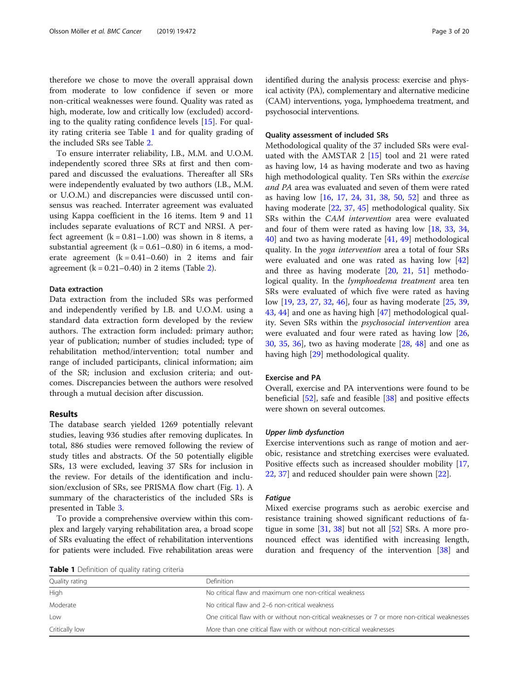therefore we chose to move the overall appraisal down from moderate to low confidence if seven or more non-critical weaknesses were found. Quality was rated as high, moderate, low and critically low (excluded) according to the quality rating confidence levels [\[15\]](#page-18-0). For quality rating criteria see Table 1 and for quality grading of the included SRs see Table [2](#page-3-0).

To ensure interrater reliability, I.B., M.M. and U.O.M. independently scored three SRs at first and then compared and discussed the evaluations. Thereafter all SRs were independently evaluated by two authors (I.B., M.M. or U.O.M.) and discrepancies were discussed until consensus was reached. Interrater agreement was evaluated using Kappa coefficient in the 16 items. Item 9 and 11 includes separate evaluations of RCT and NRSI. A perfect agreement  $(k = 0.81 - 1.00)$  was shown in 8 items, a substantial agreement  $(k = 0.61 - 0.80)$  in 6 items, a moderate agreement  $(k = 0.41 - 0.60)$  in 2 items and fair agreement  $(k = 0.21 - 0.40)$  in 2 items (Table [2\)](#page-3-0).

#### Data extraction

Data extraction from the included SRs was performed and independently verified by I.B. and U.O.M. using a standard data extraction form developed by the review authors. The extraction form included: primary author; year of publication; number of studies included; type of rehabilitation method/intervention; total number and range of included participants, clinical information; aim of the SR; inclusion and exclusion criteria; and outcomes. Discrepancies between the authors were resolved through a mutual decision after discussion.

#### Results

The database search yielded 1269 potentially relevant studies, leaving 936 studies after removing duplicates. In total, 886 studies were removed following the review of study titles and abstracts. Of the 50 potentially eligible SRs, 13 were excluded, leaving 37 SRs for inclusion in the review. For details of the identification and inclusion/exclusion of SRs, see PRISMA flow chart (Fig. [1](#page-5-0)). A summary of the characteristics of the included SRs is presented in Table [3](#page-6-0).

To provide a comprehensive overview within this complex and largely varying rehabilitation area, a broad scope of SRs evaluating the effect of rehabilitation interventions for patients were included. Five rehabilitation areas were identified during the analysis process: exercise and physical activity (PA), complementary and alternative medicine (CAM) interventions, yoga, lymphoedema treatment, and psychosocial interventions.

#### Quality assessment of included SRs

Methodological quality of the 37 included SRs were evaluated with the AMSTAR 2 [\[15](#page-18-0)] tool and 21 were rated as having low, 14 as having moderate and two as having high methodological quality. Ten SRs within the exercise and PA area was evaluated and seven of them were rated as having low [\[16](#page-18-0), [17,](#page-18-0) [24,](#page-18-0) [31](#page-18-0), [38](#page-18-0), [50,](#page-18-0) [52](#page-18-0)] and three as having moderate [[22,](#page-18-0) [37](#page-18-0), [45](#page-18-0)] methodological quality. Six SRs within the CAM intervention area were evaluated and four of them were rated as having low [[18,](#page-18-0) [33](#page-18-0), [34](#page-18-0), [40\]](#page-18-0) and two as having moderate [\[41](#page-18-0), [49](#page-18-0)] methodological quality. In the yoga intervention area a total of four SRs were evaluated and one was rated as having low [[42](#page-18-0)] and three as having moderate [\[20,](#page-18-0) [21](#page-18-0), [51\]](#page-18-0) methodological quality. In the *lymphoedema treatment* area ten SRs were evaluated of which five were rated as having low [[19](#page-18-0), [23,](#page-18-0) [27,](#page-18-0) [32](#page-18-0), [46](#page-18-0)], four as having moderate [\[25](#page-18-0), [39](#page-18-0), [43,](#page-18-0) [44](#page-18-0)] and one as having high [[47\]](#page-18-0) methodological quality. Seven SRs within the psychosocial intervention area were evaluated and four were rated as having low [[26](#page-18-0), [30,](#page-18-0) [35](#page-18-0), [36\]](#page-18-0), two as having moderate [[28,](#page-18-0) [48](#page-18-0)] and one as having high [\[29](#page-18-0)] methodological quality.

#### Exercise and PA

Overall, exercise and PA interventions were found to be beneficial [\[52\]](#page-18-0), safe and feasible [[38\]](#page-18-0) and positive effects were shown on several outcomes.

#### Upper limb dysfunction

Exercise interventions such as range of motion and aerobic, resistance and stretching exercises were evaluated. Positive effects such as increased shoulder mobility [[17](#page-18-0), [22,](#page-18-0) [37](#page-18-0)] and reduced shoulder pain were shown [[22\]](#page-18-0).

#### Fatigue

Mixed exercise programs such as aerobic exercise and resistance training showed significant reductions of fatigue in some  $[31, 38]$  $[31, 38]$  $[31, 38]$  $[31, 38]$  but not all  $[52]$  $[52]$  SRs. A more pronounced effect was identified with increasing length, duration and frequency of the intervention [[38](#page-18-0)] and

Table 1 Definition of quality rating criteria

| Quality rating | <b>Definition</b>                                                                              |
|----------------|------------------------------------------------------------------------------------------------|
| High           | No critical flaw and maximum one non-critical weakness                                         |
| Moderate       | No critical flaw and 2-6 non-critical weakness                                                 |
| Low            | One critical flaw with or without non-critical weaknesses or 7 or more non-critical weaknesses |
| Critically low | More than one critical flaw with or without non-critical weaknesses                            |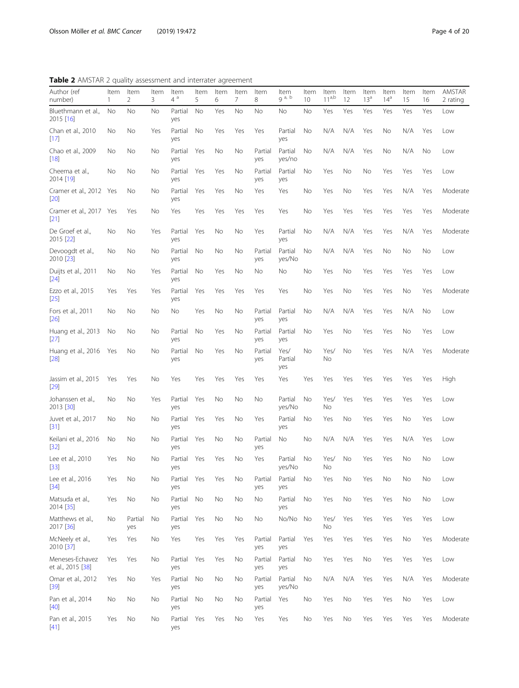<span id="page-3-0"></span>

| Author (ref<br>number)               | Item<br>1 | Item<br>$\overline{2}$ | Item<br>3 | Item<br>$4^a$  | Item<br>5 | Item<br>6 | Item<br>7 | Item<br>8      | Item<br>$q$ a, b       | Item<br>10 | Item<br>$11^{a,b}$ | Item<br>12 | Item<br>13 <sup>a</sup> | Item<br>14 <sup>a</sup> | Item<br>15 | Item<br>16 | AMSTAR<br>2 rating |
|--------------------------------------|-----------|------------------------|-----------|----------------|-----------|-----------|-----------|----------------|------------------------|------------|--------------------|------------|-------------------------|-------------------------|------------|------------|--------------------|
| Bluethmann et al.,<br>2015 [16]      | No        | <b>No</b>              | No        | Partial<br>yes | No        | Yes       | No        | No             | No                     | No         | Yes                | Yes        | Yes                     | Yes                     | Yes        | Yes        | Low                |
| Chan et al., 2010<br>$[17]$          | No        | No                     | Yes       | Partial<br>yes | No        | Yes       | Yes       | Yes            | Partial<br>yes         | Νo         | N/A                | N/A        | Yes                     | No                      | N/A        | Yes        | Low                |
| Chao et al., 2009<br>[18]            | No        | No                     | No        | Partial<br>yes | Yes       | No        | No        | Partial<br>yes | Partial<br>yes/no      | Νo         | N/A                | N/A        | Yes                     | No                      | N/A        | No         | Low                |
| Cheema et al<br>2014 [19]            | No        | No                     | No        | Partial<br>yes | Yes       | Yes       | No        | Partial<br>yes | Partial<br>yes         | No         | Yes                | No         | No                      | Yes                     | Yes        | Yes        | Low                |
| Cramer et al., 2012 Yes<br>$[20]$    |           | No                     | No        | Partial<br>yes | Yes       | Yes       | No        | Yes            | Yes                    | No         | Yes                | No         | Yes                     | Yes                     | N/A        | Yes        | Moderate           |
| Cramer et al., 2017 Yes<br>[21]      |           | Yes                    | No        | Yes            | Yes       | Yes       | Yes       | Yes            | Yes                    | No         | Yes                | Yes        | Yes                     | Yes                     | Yes        | Yes        | Moderate           |
| De Groef et al.,<br>2015 [22]        | No        | No                     | Yes       | Partial<br>yes | Yes       | No        | No        | Yes            | Partial<br>yes         | No         | N/A                | N/A        | Yes                     | Yes                     | N/A        | Yes        | Moderate           |
| Devoogdt et al.,<br>2010 [23]        | No        | No                     | No        | Partial<br>yes | No        | No        | No        | Partial<br>yes | Partial<br>yes/No      | No         | N/A                | N/A        | Yes                     | No                      | No         | No         | Low                |
| Duijts et al., 2011<br>[24]          | No        | No                     | Yes       | Partial<br>yes | No        | Yes       | No        | No             | No                     | No         | Yes                | No         | Yes                     | Yes                     | Yes        | Yes        | Low                |
| Ezzo et al., 2015<br>[25]            | Yes       | Yes                    | Yes       | Partial<br>yes | Yes       | Yes       | Yes       | Yes            | Yes                    | No         | Yes                | No         | Yes                     | Yes                     | No         | Yes        | Moderate           |
| Fors et al., 2011<br>[26]            | No        | No                     | No        | No             | Yes       | No        | No        | Partial<br>yes | Partial<br>yes         | No         | N/A                | N/A        | Yes                     | Yes                     | N/A        | No         | Low                |
| Huang et al., 2013<br>[27]           | No        | No                     | No        | Partial<br>yes | No        | Yes       | No        | Partial<br>yes | Partial<br>yes         | No         | Yes                | No         | Yes                     | Yes                     | No         | Yes        | Low                |
| Huang et al., 2016<br>[28]           | Yes       | No                     | No        | Partial<br>yes | No        | Yes       | No        | Partial<br>yes | Yes/<br>Partial<br>yes | No         | Yes/<br>No         | No         | Yes                     | Yes                     | N/A        | Yes        | Moderate           |
| Jassim et al., 2015<br>$[29]$        | Yes       | Yes                    | No        | Yes            | Yes       | Yes       | Yes       | Yes            | Yes                    | Yes        | Yes                | Yes        | Yes                     | Yes                     | Yes        | Yes        | High               |
| Johanssen et al.,<br>2013 [30]       | No        | No                     | Yes       | Partial<br>yes | Yes       | No        | No        | No             | Partial<br>yes/No      | No         | Yes/<br>No         | Yes        | Yes                     | Yes                     | Yes        | Yes        | Low                |
| Juvet et al., 2017<br>$[31]$         | No        | No                     | No        | Partial<br>yes | Yes       | Yes       | No        | Yes            | Partial<br>yes         | No         | Yes                | No         | Yes                     | Yes                     | No         | Yes        | Low                |
| Keilani et al., 2016<br>$[32]$       | No        | No                     | No        | Partial<br>yes | Yes       | No        | No        | Partial<br>yes | No                     | No         | N/A                | N/A        | Yes                     | Yes                     | N/A        | Yes        | Low                |
| Lee et al., 2010<br>$[33]$           | Yes       | No                     | No        | Partial<br>yes | Yes       | Yes       | No        | Yes            | Partial<br>yes/No      | No         | Yes/<br>No         | No         | Yes                     | Yes                     | No         | Νo         | Low                |
| Lee et al., 2016<br>$[34]$           | Yes       | No                     | No        | Partial<br>yes | Yes       | Yes       | No        | Partial<br>yes | Partial<br>yes         | No         | Yes                | No         | Yes                     | No                      | No         | No         | Low                |
| Matsuda et al.,<br>2014 [35]         | Yes       | No                     | No        | Partial<br>yes | No        | No        | No        | No             | Partial<br>yes         | No         | Yes                | No         | Yes                     | Yes                     | No         | No         | Low                |
| Matthews et al.<br>2017 [36]         | No        | Partial<br>yes         | No        | Partial<br>yes | Yes       | No        | No        | No             | No/No No               |            | Yes/<br>No.        | Yes        | Yes                     | Yes                     | Yes        | Yes        | Low                |
| McNeely et al.,<br>2010 [37]         | Yes       | Yes                    | No        | Yes            | Yes       | Yes       | Yes       | Partial<br>yes | Partial<br>yes         | Yes        | Yes                | Yes        | Yes                     | Yes                     | No         | Yes        | Moderate           |
| Meneses-Echavez<br>et al., 2015 [38] | Yes       | Yes                    | No        | Partial<br>yes | Yes       | Yes       | No        | Partial<br>yes | Partial<br>yes         | No         | Yes                | Yes        | No                      | Yes                     | Yes        | Yes        | Low                |
| Omar et al., 2012<br>$[39]$          | Yes       | No                     | Yes       | Partial<br>yes | No        | No        | No        | Partial<br>yes | Partial<br>yes/No      | No         | N/A                | N/A        | Yes                     | Yes                     | N/A        | Yes        | Moderate           |
| Pan et al., 2014<br>[40]             | No        | No                     | No        | Partial<br>yes | No        | No        | No        | Partial<br>yes | Yes                    | No         | Yes                | No         | Yes                     | Yes                     | No         | Yes        | Low                |
| Pan et al., 2015<br>$[41]$           | Yes       | No                     | No        | Partial<br>yes | Yes       | Yes       | No        | Yes            | Yes                    | No         | Yes                | No         | Yes                     | Yes                     | Yes        | Yes        | Moderate           |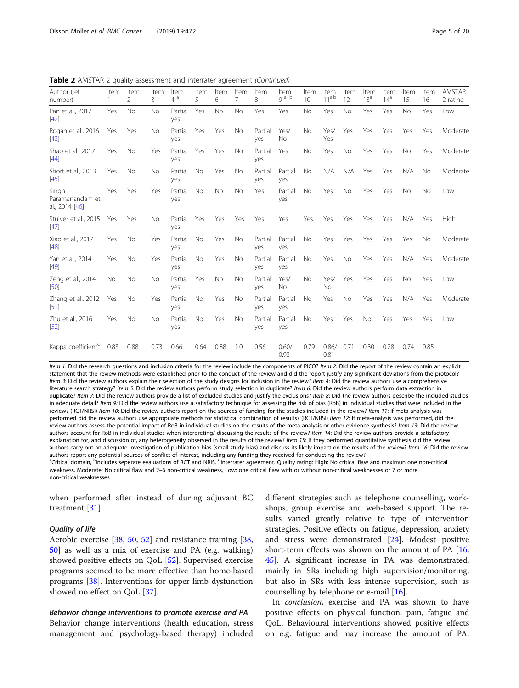Table 2 AMSTAR 2 quality assessment and interrater agreement (Continued)

| Author (ref<br>number)                     | Item | Item<br>2 | Item<br>3 | Item<br>$4^a$  | Item<br>5      | Item<br>6 | Item<br>7 | Item<br>8      | Item<br>$q$ a, b  | Item<br>10 | Item<br>$11^{a,b}$ | Item<br>12 | Item<br>13 <sup>a</sup> | Item<br>14 <sup>a</sup> | Item<br>15 | Item<br>16 | AMSTAR<br>2 rating |
|--------------------------------------------|------|-----------|-----------|----------------|----------------|-----------|-----------|----------------|-------------------|------------|--------------------|------------|-------------------------|-------------------------|------------|------------|--------------------|
| Pan et al., 2017<br>$[42]$                 | Yes  | <b>No</b> | No        | Partial<br>yes | Yes            | <b>No</b> | No        | Yes            | Yes               | <b>No</b>  | Yes                | No         | Yes                     | Yes                     | <b>No</b>  | Yes        | Low                |
| Rogan et al., 2016<br>$[43]$               | Yes  | Yes       | No.       | Partial<br>yes | Yes            | Yes       | <b>No</b> | Partial<br>yes | Yes/<br><b>No</b> | No         | Yes/<br>Yes        | Yes        | Yes                     | Yes                     | Yes        | Yes        | Moderate           |
| Shao et al., 2017<br>[44]                  | Yes  | <b>No</b> | Yes       | Partial<br>yes | Yes            | Yes       | <b>No</b> | Partial<br>yes | Yes               | No         | Yes                | <b>No</b>  | Yes                     | Yes                     | <b>No</b>  | Yes        | Moderate           |
| Short et al., 2013<br>[45]                 | Yes  | No        | <b>No</b> | Partial<br>yes | <b>No</b>      | Yes       | No        | Partial<br>yes | Partial<br>yes    | No         | N/A                | N/A        | Yes                     | Yes                     | N/A        | No         | Moderate           |
| Singh<br>Paramanandam et<br>al., 2014 [46] | Yes  | Yes       | Yes       | Partial<br>yes | <b>No</b>      | No        | <b>No</b> | Yes            | Partial<br>yes    | No         | Yes                | <b>No</b>  | Yes                     | Yes                     | No         | <b>No</b>  | Low                |
| Stuiver et al., 2015<br>[47]               | Yes  | Yes       | <b>No</b> | Partial<br>yes | Yes            | Yes       | Yes       | Yes            | Yes               | Yes        | Yes                | Yes        | Yes                     | Yes                     | N/A        | Yes        | High               |
| Xiao et al., 2017<br>[48]                  | Yes  | <b>No</b> | Yes       | Partial<br>yes | <b>No</b>      | Yes       | <b>No</b> | Partial<br>yes | Partial<br>yes    | No         | Yes                | Yes        | Yes                     | Yes                     | Yes        | <b>No</b>  | Moderate           |
| Yan et al., 2014<br>[49]                   | Yes  | <b>No</b> | Yes       | Partial<br>yes | <b>No</b>      | Yes       | <b>No</b> | Partial<br>yes | Partial<br>yes    | No         | Yes                | <b>No</b>  | Yes                     | Yes                     | N/A        | Yes        | Moderate           |
| Zeng et al., 2014<br>[50]                  | No.  | <b>No</b> | No        | Partial<br>yes | Yes            | <b>No</b> | <b>No</b> | Partial<br>yes | Yes/<br><b>No</b> | No         | Yes/<br><b>No</b>  | Yes        | Yes                     | Yes                     | <b>No</b>  | Yes        | Low                |
| Zhang et al., 2012<br>[51]                 | Yes  | <b>No</b> | Yes       | Partial<br>yes | <b>No</b>      | Yes       | <b>No</b> | Partial<br>yes | Partial<br>yes    | No         | Yes                | <b>No</b>  | Yes                     | Yes                     | N/A        | Yes        | Moderate           |
| Zhu et al., 2016<br>[52]                   | Yes  | <b>No</b> | <b>No</b> | Partial<br>yes | N <sub>o</sub> | Yes       | <b>No</b> | Partial<br>yes | Partial<br>yes    | <b>No</b>  | Yes                | Yes        | <b>No</b>               | Yes                     | Yes        | Yes        | Low                |
| Kappa coefficient <sup>C</sup>             | 0.83 | 0.88      | 0.73      | 0.66           | 0.64           | 0.88      | 1.0       | 0.56           | 0.60/<br>0.93     | 0.79       | 0.86/<br>0.81      | 0.71       | 0.30                    | 0.28                    | 0.74       | 0.85       |                    |

Item 1: Did the research questions and inclusion criteria for the review include the components of PICO? Item 2: Did the report of the review contain an explicit statement that the review methods were established prior to the conduct of the review and did the report justify any significant deviations from the protocol? Item 3: Did the review authors explain their selection of the study designs for inclusion in the review? Item 4: Did the review authors use a comprehensive literature search strategy? Item 5: Did the review authors perform study selection in duplicate? Item 6: Did the review authors perform data extraction in duplicate? Item 7: Did the review authors provide a list of excluded studies and justify the exclusions? Item 8: Did the review authors describe the included studies in adequate detail? Item 9: Did the review authors use a satisfactory technique for assessing the risk of bias (RoB) in individual studies that were included in the review? (RCT/NRSI) Item 10: Did the review authors report on the sources of funding for the studies included in the review? Item 11: If meta-analysis was performed did the review authors use appropriate methods for statistical combination of results? (RCT/NRSI) Item 12: If meta-analysis was performed, did the review authors assess the potential impact of RoB in individual studies on the results of the meta-analysis or other evidence synthesis? Item 13: Did the review authors account for RoB in individual studies when interpreting/ discussing the results of the review? Item 14: Did the review authors provide a satisfactory explanation for, and discussion of, any heterogeneity observed in the results of the review? Item 15: If they performed quantitative synthesis did the review authors carry out an adequate investigation of publication bias (small study bias) and discuss its likely impact on the results of the review? Item 16: Did the review authors report any potential sources of conflict of interest, including any funding they received for conducting the review? <sup>a</sup>Critical domain, <sup>b</sup>Includes seperate evaluations of RCT and NRIS. <sup>C</sup>Interrater agreement. Quality rating: High: No critical flaw and maximun one non-critical weakness, Moderate: No critical flaw and 2–6 non-critical weakness, Low: one critical flaw with or without non-critical weaknesses or 7 or more non-critical weaknesses

when performed after instead of during adjuvant BC treatment [[31\]](#page-18-0).

#### Quality of life

Aerobic exercise [\[38](#page-18-0), [50](#page-18-0), [52\]](#page-18-0) and resistance training [[38](#page-18-0), [50\]](#page-18-0) as well as a mix of exercise and PA (e.g. walking) showed positive effects on QoL [\[52](#page-18-0)]. Supervised exercise programs seemed to be more effective than home-based programs [\[38\]](#page-18-0). Interventions for upper limb dysfunction showed no effect on QoL [[37\]](#page-18-0).

Behavior change interventions to promote exercise and PA Behavior change interventions (health education, stress management and psychology-based therapy) included

different strategies such as telephone counselling, workshops, group exercise and web-based support. The results varied greatly relative to type of intervention strategies. Positive effects on fatigue, depression, anxiety and stress were demonstrated [[24\]](#page-18-0). Modest positive short-term effects was shown on the amount of PA [[16](#page-18-0), [45\]](#page-18-0). A significant increase in PA was demonstrated, mainly in SRs including high supervision/monitoring, but also in SRs with less intense supervision, such as counselling by telephone or e-mail [[16\]](#page-18-0).

In conclusion, exercise and PA was shown to have positive effects on physical function, pain, fatigue and QoL. Behavioural interventions showed positive effects on e.g. fatigue and may increase the amount of PA.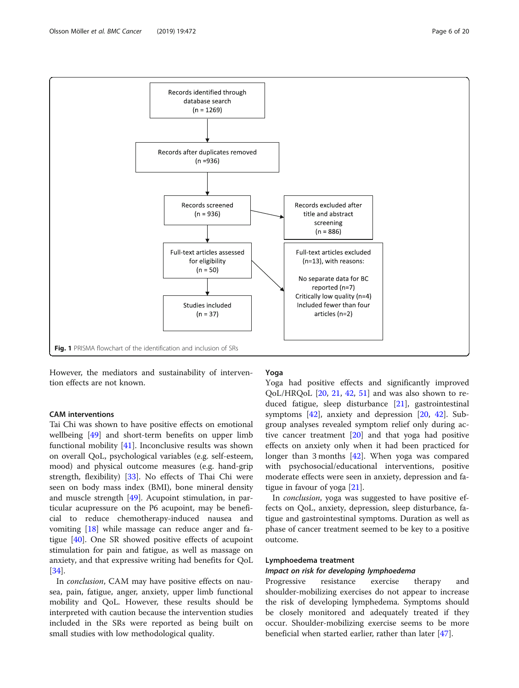<span id="page-5-0"></span>

However, the mediators and sustainability of intervention effects are not known.

#### CAM interventions

Tai Chi was shown to have positive effects on emotional wellbeing [[49](#page-18-0)] and short-term benefits on upper limb functional mobility [[41\]](#page-18-0). Inconclusive results was shown on overall QoL, psychological variables (e.g. self-esteem, mood) and physical outcome measures (e.g. hand-grip strength, flexibility) [\[33](#page-18-0)]. No effects of Thai Chi were seen on body mass index (BMI), bone mineral density and muscle strength [[49\]](#page-18-0). Acupoint stimulation, in particular acupressure on the P6 acupoint, may be beneficial to reduce chemotherapy-induced nausea and vomiting [[18](#page-18-0)] while massage can reduce anger and fatigue [\[40](#page-18-0)]. One SR showed positive effects of acupoint stimulation for pain and fatigue, as well as massage on anxiety, and that expressive writing had benefits for QoL [[34\]](#page-18-0).

In conclusion, CAM may have positive effects on nausea, pain, fatigue, anger, anxiety, upper limb functional mobility and QoL. However, these results should be interpreted with caution because the intervention studies included in the SRs were reported as being built on small studies with low methodological quality.

#### Yoga

Yoga had positive effects and significantly improved QoL/HRQoL [\[20](#page-18-0), [21,](#page-18-0) [42](#page-18-0), [51\]](#page-18-0) and was also shown to reduced fatigue, sleep disturbance [[21\]](#page-18-0), gastrointestinal symptoms [[42\]](#page-18-0), anxiety and depression [[20,](#page-18-0) [42\]](#page-18-0). Subgroup analyses revealed symptom relief only during active cancer treatment [\[20](#page-18-0)] and that yoga had positive effects on anxiety only when it had been practiced for longer than 3 months [[42](#page-18-0)]. When yoga was compared with psychosocial/educational interventions, positive moderate effects were seen in anxiety, depression and fatigue in favour of yoga [\[21\]](#page-18-0).

In conclusion, yoga was suggested to have positive effects on QoL, anxiety, depression, sleep disturbance, fatigue and gastrointestinal symptoms. Duration as well as phase of cancer treatment seemed to be key to a positive outcome.

#### Lymphoedema treatment

#### Impact on risk for developing lymphoedema

Progressive resistance exercise therapy and shoulder-mobilizing exercises do not appear to increase the risk of developing lymphedema. Symptoms should be closely monitored and adequately treated if they occur. Shoulder-mobilizing exercise seems to be more beneficial when started earlier, rather than later [\[47\]](#page-18-0).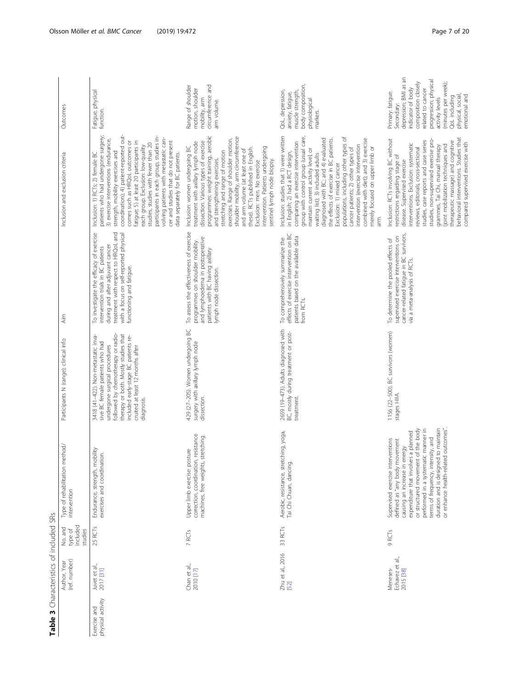<span id="page-6-0"></span>

|                                   | Table 3 Characteristics of included SRs  |                                           |                                                                                                                                                                                                                                                                                                                                              |                                                                                                                                                                                                                                                                                 |                                                                                                                                                                                                                                |                                                                                                                                                                                                                                                                                                                                                                                                                                                                                                                                                                 |                                                                                                                                                                                                                                                     |
|-----------------------------------|------------------------------------------|-------------------------------------------|----------------------------------------------------------------------------------------------------------------------------------------------------------------------------------------------------------------------------------------------------------------------------------------------------------------------------------------------|---------------------------------------------------------------------------------------------------------------------------------------------------------------------------------------------------------------------------------------------------------------------------------|--------------------------------------------------------------------------------------------------------------------------------------------------------------------------------------------------------------------------------|-----------------------------------------------------------------------------------------------------------------------------------------------------------------------------------------------------------------------------------------------------------------------------------------------------------------------------------------------------------------------------------------------------------------------------------------------------------------------------------------------------------------------------------------------------------------|-----------------------------------------------------------------------------------------------------------------------------------------------------------------------------------------------------------------------------------------------------|
|                                   | (ref. number)<br>Author, Year            | included<br>No. and<br>type of<br>studies | method<br>Type of rehabilitation<br>intervention                                                                                                                                                                                                                                                                                             | Participants N (range); clinical info                                                                                                                                                                                                                                           | Aim                                                                                                                                                                                                                            | Inclusion and exclusion criteria                                                                                                                                                                                                                                                                                                                                                                                                                                                                                                                                | Outcomes                                                                                                                                                                                                                                            |
| physical activity<br>Exercise and | Juvet et al.,<br>2017 [31]               | 25 RCT <sub>S</sub>                       | Endurance, strength, mobility<br>exercises and coordination.                                                                                                                                                                                                                                                                                 | followed by chemotherapy or radio-<br>therapy or both. Mostly studies that<br>3418 (41-422). Non-metastatic inva-<br>included early-stage BC patients re-<br>sive BC female patients who had<br>undergone surgical procedures<br>cruited at least 12 months after<br>diagnosis. | treatment with respect to HRQoL and<br>To investigate the efficacy of exercise<br>with a focus on self-reported physical<br>during and after adjuvant cancer<br>intervention trials in BC patients<br>functioning and fatigue. | coordination); 4) patient-reported out-<br>patients who had undergone surgery;<br>participants in each group, studies in-<br>volving patients with metastatic can-<br>3) exercise interventions (endurance,<br>comes such as HRQoL outcomes or<br>cer and studies that do not present<br>fatigue; 5) at least 20 participants in<br>studies, studies with fewer than 20<br>each group. Exclusion: low-quality<br>strength, mobility exercises and<br>Inclusion: 1) RCTs; 2) female BC<br>data separately for BC patients.                                       | Fatigue, physical<br>function.                                                                                                                                                                                                                      |
|                                   | Chan et al.,<br>2010 [17]                | 7 RCT <sub>S</sub>                        | correction, coordination, resistance<br>machines, free weights, stretching.<br>Upper limb exercise: posture                                                                                                                                                                                                                                  | 429 (27-205). Women undergoing BC<br>surgery with axillary lymph node<br>dissection.                                                                                                                                                                                            | To assess the effectiveness of exercise<br>and lymphoedema in postoperative<br>programmes on shoulder mobility<br>patients with BC having axillary<br>lymph node dissection.                                                   | programmes: weight training, aerobic<br>shoulder mobility, arm circumference<br>exercises. Range of shoulder motion,<br>dissection. Various types of exercise<br>treatment with axillary lymph node<br>intervention. Patients undergoing<br>Inclusion: women undergoing BC<br>these). RCTs published in English.<br>and arm volume (at least one of<br>stretching and range of motion<br>and strengthening exercises,<br>sentinel lymph node biopsy.<br>Exclusion: men. No exercise                                                                             | circumference and<br>Range of shoulder<br>motion, shoulder<br>mobility, arm<br>arm volume.                                                                                                                                                          |
|                                   | Zhu et al., 2016<br>[52]                 | 33 RCT <sub>S</sub>                       | Aerobic, resistance, stretching, yoga,<br>Tai Chi Chuan, dancing                                                                                                                                                                                                                                                                             | 2659 (19-473). Adults diagnosed with<br>BC, mostly during treatment or post-<br>treatment.                                                                                                                                                                                      | To comprehensively summarize the<br>effects of exercise intervention on BC<br>patients based on the available data<br>from RCTs.                                                                                               | Inclusion: studies that 1) were written<br>group with control group (usual care,<br>populations, including other types of<br>combined with diet); and 3) exercise<br>diagnosed with BC; and 4) evaluated<br>the effects of exercise in BC patients.<br>comparing an exercise intervention<br>intervention (exercise intervention<br>merely focused on upper limb or<br>cancer patients; 2) other types of<br>maintain current activity level, or<br>in English; 2) had a RCT design,<br>waiting list); 3) included adults<br>Exclusion: 1) mixed cancer<br>arm. | body composition,<br>muscle strength,<br>QoL, depression,<br>anxiety, fatigue,<br>physiological<br>markers.                                                                                                                                         |
|                                   | Echavez et al.,<br>Meneses-<br>2015 [38] | 9 RCT <sub>S</sub>                        | duration and is designed to maintain<br>or structured movement of the body<br>performed in a systematic manner in<br>or enhance health-related outcomes"<br>expenditure that involves a planned<br>terms of frequency, intensity, and<br>Supervised exercise interventions<br>defined as "any body movement<br>causing an increase in energy | 1156 (22-500). BC survivors (women)<br>stages I-IIIA.                                                                                                                                                                                                                           | cancer-related fatigue in BC survivors,<br>supervised exercise interventions on<br>To determine the pooled effects of<br>via a meta-analysis of RCTs.                                                                          | behavioral interventions. Studies that<br>Inclusion: RCTs involving BC without<br>studies, non-supervised exercise pro-<br>studies, case reports and case series<br>therapeutic massage) and cognitive<br>compared supervised exercise with<br>interventions. Exclusion: systematic<br>joint mobilization techniques and<br>grammes, Tai Chi, manual therapy<br>reviews, editorials, cross-sectional<br>restrictions regarding stage of<br>disease. Supervised exercise                                                                                         | depression; BMI as an<br>progression; physical<br>composition closely<br>(minutes per week);<br>indicator of body<br>related to cancer<br>Primary: fatigue.<br>physical, social,<br>emotional and<br>QoL including<br>activity levels<br>Secondary: |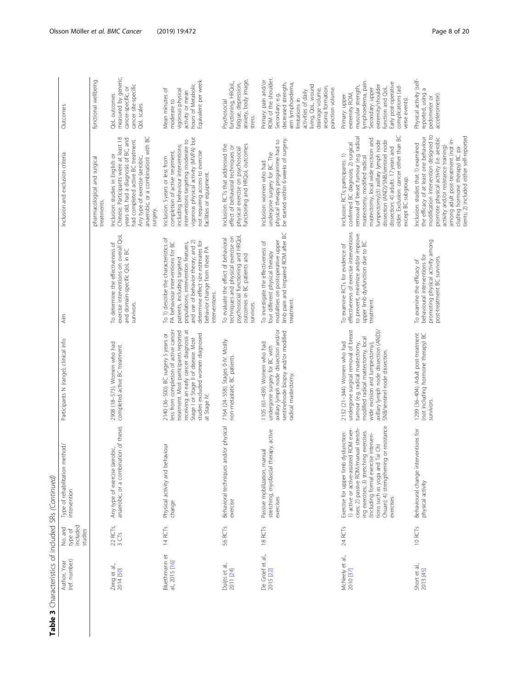|                                         |                                           | נ<br>ק                                                                                                                                                                                                                                                                                                     |                                                                                                                                                                                                                                                              |                                                                                                                                                                                                                                                                                   |                                                                                                                                                                                                                                                                                                                                                                              |                                                                                                                                                                                                                                       |
|-----------------------------------------|-------------------------------------------|------------------------------------------------------------------------------------------------------------------------------------------------------------------------------------------------------------------------------------------------------------------------------------------------------------|--------------------------------------------------------------------------------------------------------------------------------------------------------------------------------------------------------------------------------------------------------------|-----------------------------------------------------------------------------------------------------------------------------------------------------------------------------------------------------------------------------------------------------------------------------------|------------------------------------------------------------------------------------------------------------------------------------------------------------------------------------------------------------------------------------------------------------------------------------------------------------------------------------------------------------------------------|---------------------------------------------------------------------------------------------------------------------------------------------------------------------------------------------------------------------------------------|
| (ref. number)<br>Author, Year           | included<br>No. and<br>type of<br>studies | Type of rehabilitation method/<br>intervention                                                                                                                                                                                                                                                             | Participants N (range); clinical info                                                                                                                                                                                                                        | Aim                                                                                                                                                                                                                                                                               | Inclusion and exclusion criteria                                                                                                                                                                                                                                                                                                                                             | Outcomes                                                                                                                                                                                                                              |
|                                         |                                           |                                                                                                                                                                                                                                                                                                            |                                                                                                                                                                                                                                                              |                                                                                                                                                                                                                                                                                   | pharmacological and surgical<br>treatments.                                                                                                                                                                                                                                                                                                                                  | functional wellbeing.                                                                                                                                                                                                                 |
| Zeng et al.,<br>2014 [50]               | 22 RCT <sub>S</sub><br>3 CT <sub>S</sub>  | anaerobic, or a combination of these).<br>Any type of exercise (aerobic,                                                                                                                                                                                                                                   | 2908 (18-573). Women who had<br>completed active BC treatment.                                                                                                                                                                                               | exercise interventions on overall QoL<br>To determine the effectiveness of<br>and domain-specific QoL in BC<br>survivors.                                                                                                                                                         | anaerobic, or a combination) with BC<br>Chinese. Participants were at least 18<br>years old, had a diagnosis of BC, and<br>had completed active BC treatment.<br>Inclusion: studies in English or<br>Any type of exercise (aerobic,<br>surgery.                                                                                                                              | measured by generic,<br>cancer site-specific<br>cancer-specific, or<br>QoL outcomes<br>QoL scales.                                                                                                                                    |
| Bluethmann et<br>al., 2015 [16]         | 14 RCT <sub>S</sub>                       | Physical activity and behaviour<br>change                                                                                                                                                                                                                                                                  | less from completion of active cancer<br>treatment. Most participants reported<br>receiving an early cancer diagnosis at<br>studies excluded women diagnosed<br>2140 (36-500). BC surgery 5 years or<br>Stage I or Stage II of disease. Most<br>at Stage IV. | To 1) describe the characteristics of<br>and use of behavior theory; and 2)<br>determine effect size estimates for<br>PA behaviour interventions for BC<br>populations, intervention features,<br>behavior change from these PA<br>patients, including targeted<br>interventions. | vigorous physical activity (MVPA) but<br>interventions targeting moderate to<br>including behaviour interventions;<br>not requiring access to exercise<br>completion of active treatment,<br>Inclusion: 5 years or less from<br>facilities or equipment.                                                                                                                     | Equivalent per week.<br>hours of Metabolic<br>Mean minutes of<br>vigorous physical<br>activity or mean<br>moderate to                                                                                                                 |
| Duijts et al.,<br>2011 [24]             | $56$ RCTs                                 | Behavioral techniques and/or physical<br>exercise                                                                                                                                                                                                                                                          | 7164 (24–558). Stages O-IV. Mostly<br>non-metastatic BC patients.                                                                                                                                                                                            | psychosocial functioning and HRQoL<br>techniques and physical exercise on<br>To evaluate the effect of behavioral<br>outcomes in BC patients and<br>survivors.                                                                                                                    | functioning and HRQoL outcomes.<br>Inclusion: RCTs that addressed the<br>effect of behavioral techniques or<br>physical exercise on psychosocial                                                                                                                                                                                                                             | anxiety, body image,<br>functioning, HRQoL,<br>fatigue, depression,<br>Psychosocial<br>stress.                                                                                                                                        |
| <u>ਰ</u> ੂੰ<br>De Groef et<br>2015 [22] | 18 RCT <sub>S</sub>                       | stretching, myofascial therapy, active<br>Passive mobilization, manual<br>exercises                                                                                                                                                                                                                        | axillary lymph node dissection and/or<br>sentinelnode biopsy and/or modified<br>1105 (61-439). Women who had<br>undergone surgery for BC with<br>radical mastectomy.                                                                                         | limb pain and impaired ROM after BC<br>modalities on postoperative upper<br>To investigate the effectiveness of<br>four different physical therapy<br>treatment.                                                                                                                  | physical therapy programme had to<br>be started within 6 weeks of surgery.<br>undergone surgery for BC. The<br>Inclusion: women who had                                                                                                                                                                                                                                      | ROM of the shoulder<br>Primary: pain and/or<br>decreased strength,<br>arm lymphoedema,<br>living, QoL, wound<br>seroma formation,<br>punction volume.<br>drainage volume,<br>activities of daily<br>Secondary: e.g.<br>limitations in |
| McNeely et al.,<br>2010 [37]            | 24 RCT <sub>S</sub>                       | Chuan); 4) strengthening or resistance<br>ed ROM exer-<br>cises; 2) passive ROM/manual stretch-<br>dysfunction:<br>ing exercises; 3) stretching exercises<br>(including formal exercise interven-<br>tions such as yoga and Tai Chi<br>Exercise for upper limb<br>1) active or active-assist<br>exercises. | undergone surgical removal of breast<br>axillary lymph node dissection (AND),<br>modified radical mastectomy, local<br>2132 (21-344). Women who had<br>wide excision and lumpectomy);<br>tumour (e.g. radical mastectomy,<br>SNB/sentinel node dissection.   | effectiveness of exercise interventions<br>to prevent, minimize and/or improve<br>upper limb dysfunction due to BC<br>To examine RCTs for evidence of<br>treatment.                                                                                                               | older. Exclusion: cancer other than BC<br>removal of breast tumour (e.g. radical<br>mastectomy, local wide excision and<br>umpectomy);3) axillary lymph node<br>dissection (AND)/SNB/sentinel node<br>confirmed BC diagnosis; 2) surgical<br>dissection; 4) adults: 17 years and<br>Inclusion: RCTs; participants: 1)<br>mastectomy, modified radical<br>except BC subgroup. | lymphoedema, pain.<br>Early post-operative<br>extremity/shoulder<br>complications (ad-<br>muscular strength,<br>Secondary: upper<br>function and QoL<br>extremity ROM,<br>Primary: upper<br>verse events).                            |
| Short et al.,<br>2013 [45]              | 10 R <sub>15</sub>                        | Behavioural change interventions for<br>physical activity                                                                                                                                                                                                                                                  | 1299 (36-404). Adult post-treatment<br>(not including hormone therapy) BC<br>survivors.                                                                                                                                                                      | promoting physical activity among<br>behavioural interventions for<br>post-treatment BC survivors.<br>To examine the efficacy of                                                                                                                                                  | modification intervention designed to<br>cluding hormone therapy) BC pa-<br>tients; 2) included either self-reported<br>the efficacy of at least one behaviour<br>promote physical activity (i.e. aerobic<br>among adult post-treatment (not in-<br>Inclusion: studies that 1) examined<br>activity and/or resistance training)                                              | Physical activity (self-<br>reported, using a<br>accelerometer).<br>pedometer or                                                                                                                                                      |

Table 3 Characteristics of included SRs (Continued) Table 3 Characteristics of included SRs (Continued)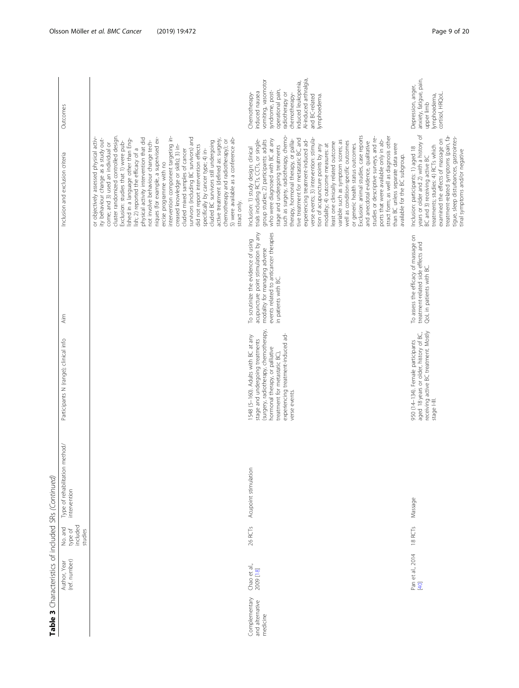|                                              |                               |                                           | Table 3 Characteristics of included SRs (Continued) |                                                                                                                                                                                                                                            |                                                                                                                                                                                |                                                                                                                                                                                                                                                                                                                                                                                                                                                                                                                                                                                                                                                                                                                                                                                                                                                                                                                                             |                                                                                                                                                                                                                       |
|----------------------------------------------|-------------------------------|-------------------------------------------|-----------------------------------------------------|--------------------------------------------------------------------------------------------------------------------------------------------------------------------------------------------------------------------------------------------|--------------------------------------------------------------------------------------------------------------------------------------------------------------------------------|---------------------------------------------------------------------------------------------------------------------------------------------------------------------------------------------------------------------------------------------------------------------------------------------------------------------------------------------------------------------------------------------------------------------------------------------------------------------------------------------------------------------------------------------------------------------------------------------------------------------------------------------------------------------------------------------------------------------------------------------------------------------------------------------------------------------------------------------------------------------------------------------------------------------------------------------|-----------------------------------------------------------------------------------------------------------------------------------------------------------------------------------------------------------------------|
|                                              | (ref. number)<br>Author, Year | included<br>No. and<br>type of<br>studies | Type of rehabilitation method/<br>intervention      | Participants N (range); clinical info                                                                                                                                                                                                      | Aim                                                                                                                                                                            | Inclusion and exclusion criteria                                                                                                                                                                                                                                                                                                                                                                                                                                                                                                                                                                                                                                                                                                                                                                                                                                                                                                            | Outcomes                                                                                                                                                                                                              |
|                                              |                               |                                           |                                                     |                                                                                                                                                                                                                                            |                                                                                                                                                                                | cluster randomized controlled design.<br>intervention component targeting in-<br>or objectively assessed physical activ-<br>survivors (including BC survivors) and<br>physical activity intervention that did<br>niques (for example, a supervised ex-<br>5) were available as a conference ab-<br>active treatment (defined as: surgery,<br>ity behaviour change as a study out-<br>lished in a language other than Eng-<br>chemotherapy and radiotherapy); or<br>cluded BC survivors still undergoing<br>not involve behaviour change tech-<br>Exclusion: studies that 1) were pub-<br>come; and 3) used an individual or<br>creased knowledge or skills); 3) in-<br>did not report intervention effects<br>lish; 2) reported the efficacy of a<br>cluded mixed samples of cancer<br>specifically by cancer type; 4) in-<br>ercise programme with no<br>stract only.                                                                      |                                                                                                                                                                                                                       |
| Complementary<br>and alternative<br>medicine | Chao et al.,<br>2009 [18]     | 26 RCT <sub>S</sub>                       | Acupoint stimulation                                | (surgery, radiotherapy, chemotherapy,<br>experiencing treatment-induced ad-<br>1548 (5-160). Adults with BC at any<br>stage and undergoing treatments<br>hormonal therapy, or palliative<br>treatment for metastatic BC),<br>verse events. | acupuncture point stimulation by any<br>events related to anticancer therapies<br>To scrutinize the evidence of using<br>modality for managing adverse<br>in patients with BC. | such as surgery, radiotherapy, chemo-<br>Exclusion: animal studies, case reports<br>stract form; as well as diagnosis other<br>studies or descriptive surveys, and re-<br>tive treatment for metastatic BC, and<br>verse events; 3) intervention: stimula-<br>who were diagnosed with BC at any<br>trials including RCTs, CCTs, or single-<br>therapy, hormonal therapy, or pallia-<br>variable such as symptom scores; as<br>group studies; 2) participants: adults<br>ports that were available only in ab-<br>experiencing treatment-induced ad-<br>well as condition-specific outcomes<br>and anecdotal evidence, qualitative<br>least one clinically related outcome<br>than BC unless separate data were<br>modality; 4) outcome measures: at<br>or generic health status outcomes.<br>stage and undergoing treatments<br>tion of acupuncture points by any<br>Inclusion: 1) study design: clinical<br>available for the BC subgroup. | Al-induced arthralgia,<br>vomiting, vasomotor<br>induced leukopenia,<br>operational pain,<br>syndrome, post-<br>induced nausea<br>radiotherapy or<br>Chemotherapy-<br>chemotherapy-<br>and BC-related<br>lymphoedema. |
|                                              | Pan et al., 2014<br>$[40]$    | 18 RCT <sub>S</sub>                       | Massage                                             | receiving active BC treatment. Mostly<br>aged 18 years or older, history of BC,<br>950 (14-134). Female participants<br>stage I-III.                                                                                                       | To assess the efficacy of massage on<br>treatment-related side effects and<br>QoL in patients with BC.                                                                         | years or older and 2) with a history of<br>treatment-related symptoms (pain, fa-<br>tigue, sleep disturbances, gastrointes-<br>examined the effects of massage on<br>treatments; studies: 4) RCTs which<br>Inclusion: participants: 1) aged 18<br>tinal symptoms and/or negative<br>BC and 3) receiving active BC                                                                                                                                                                                                                                                                                                                                                                                                                                                                                                                                                                                                                           | anxiety, fatigue, pain,<br>Depression, anger,<br>cortisol, HRQoL<br>lymphoedema,<br>upper limb                                                                                                                        |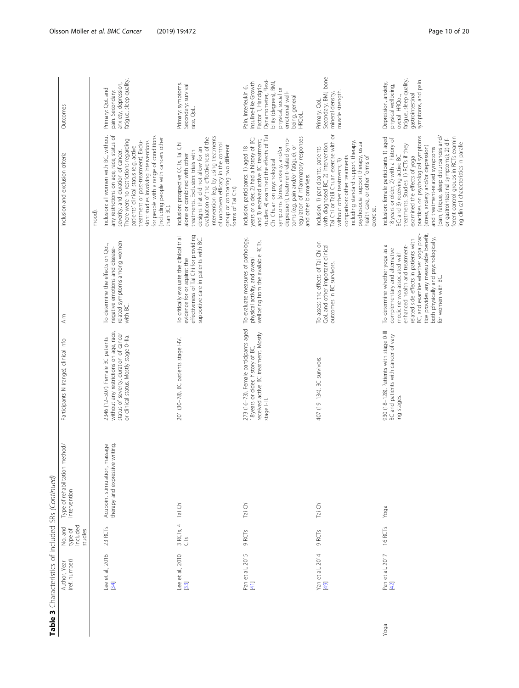|      | (ref. number)<br>Author, Year | included<br>No. and<br>type of<br>studies | Type of rehabilitation method/<br>intervention                      | Participants N (range); clinical info                                                                                                                             | Aim                                                                                                                                                                                                                                                                                                                     | Inclusion and exclusion criteria                                                                                                                                                                                                                                                                                                                                                                                                                                                      | Outcomes                                                                                                                                                                                  |
|------|-------------------------------|-------------------------------------------|---------------------------------------------------------------------|-------------------------------------------------------------------------------------------------------------------------------------------------------------------|-------------------------------------------------------------------------------------------------------------------------------------------------------------------------------------------------------------------------------------------------------------------------------------------------------------------------|---------------------------------------------------------------------------------------------------------------------------------------------------------------------------------------------------------------------------------------------------------------------------------------------------------------------------------------------------------------------------------------------------------------------------------------------------------------------------------------|-------------------------------------------------------------------------------------------------------------------------------------------------------------------------------------------|
|      |                               |                                           |                                                                     |                                                                                                                                                                   |                                                                                                                                                                                                                                                                                                                         | mood).                                                                                                                                                                                                                                                                                                                                                                                                                                                                                |                                                                                                                                                                                           |
|      | Lee et al., 2016<br>[34]      | 23 RCT <sub>S</sub>                       | writing.<br>Acupoint stimulation, massage<br>therapy and expressive | without any restrictions on age, race,<br>status of severity, duration of cancer<br>or clinical status. Mostly stage 0-Illa.<br>2346 (12-507). Female BC patients | related symptoms among women<br>with BC.<br>To determine the effects on QoL<br>negative emotions and disease-                                                                                                                                                                                                           | Inclusion: all women with BC, without<br>any restrictions on age, race, status of<br>for people with a range of conditions<br>(including people with cancers other<br>There were no restrictions regarding<br>sion: studies involving interventions<br>treatment or post-treatment). Exclu-<br>patients' clinical status (e.g. active<br>severity, and duration of cancer.<br>than BC).                                                                                               | fatigue, sleep quality.<br>anxiety, depression,<br>Primary: QoL and<br>pain. Secondary:                                                                                                   |
|      | Lee et al., 2010<br>$[33]$    | $3$ RCTs, 4<br>Ű                          | Tai Chi                                                             | 201 (30-78). BC patients stage I-IV.                                                                                                                              | effectiveness of Tai Chi for providing<br>To critically evaluate the clinical trial<br>supportive care in patients with BC.<br>evidence for or against the                                                                                                                                                              | intervention (e.g. by using treatments<br>evaluation of the effectiveness of the<br>Inclusion: prospective CCTs, Tai Chi<br>of unproven efficacy in the control<br>group or comparing two different<br>designs that did not allow for an<br>treatments. Exclusion: trials with<br>alone or combined with other<br>orms of Tai Chi).                                                                                                                                                   | Primary: symptoms.<br>Secondary: survival<br>rate, QoL.                                                                                                                                   |
|      | Pan et al., 2015<br>$[4]$     | $9$ RCT <sub>S</sub>                      | Tai Chi                                                             | 273 (16-73). Female participants aged<br>received active BC treatment. Mostly<br>18 years or older, history of BC,<br>stage I-III.                                | To evaluate measures of pathology,<br>wellbeing from the available RCTs.<br>physical activity, and overall                                                                                                                                                                                                              | studies: 4) examined the effects of Tai<br>regulation of inflammatory responses<br>years or older; 2) had a history of BC;<br>depression), treatment-related symp-<br>and 3) received active BC treatment;<br>toms (e.g. pain and/or fatigue), or<br>Inclusion: participants: 1) aged 18<br>symptoms (stress, anxiety, and/or<br>Chi Chuan on psychological<br>and other biomarkers.                                                                                                  | Dynamometer, Flexi-<br>Insuline-like Growth<br>bility (degrees), BMI,<br>Factor 1, Handgrip<br>Pain, Interleukin 6,<br>physical, social or<br>emotional well-<br>being, general<br>HRQoL. |
|      | Yan et al., 2014<br>[49]      | $9$ RCT <sub>S</sub>                      | Tai Chi                                                             | 407 (19-134). BC survivors.                                                                                                                                       | To assess the effects of Tai Chi on<br>QoL and other important clinical<br>outcomes in BC survivors.                                                                                                                                                                                                                    | Tai Chi or TaiJi Chuan exercise with or<br>psychosocial support therapy, usual<br>including standard support therapy,<br>with diagnosed BC; 2) intervention:<br>Inclusion: 1) participants: patients<br>comparison: other treatments<br>health care, or other forms of<br>without other treatments; 3)<br>exercise.                                                                                                                                                                   | Secondary: BMI, bone<br>muscle strength.<br>mineral density,<br>Primary: QoL                                                                                                              |
| Yoga | Pan et al., 2017<br>$[42]$    | 16 RCT <sub>S</sub>                       | Yoga                                                                | 930 (18-128). Patients with stage 0-III<br>BC and patients with cancer of vary-<br>ing stages.                                                                    | tice provides any measurable benefit,<br>BC, and examine whether yoga prac-<br>both physically and psychologically,<br>related side effects in patients with<br>To determine whether yoga as a<br>enhanced health and treatment-<br>complementary and alternative<br>medicine was associated with<br>for women with BC. | ferent control groups in RCTs examin-<br>practices on psychological symptoms<br>(pain, fatigue, sleep disturbances and/<br>Inclusion: female participants 1) aged<br>18 years or older; 2) with a history of<br>or gastrointestinal symptoms); 2) dif-<br>ing clinical characteristics in parallel<br>treatments. Studies: 1) RCTs if they<br>(stress, anxiety and/or depression)<br>and treatment-related symptoms<br>BC; and 3) receiving active BC<br>examined the effects of yoga | fatigue, sleep quality,<br>symptoms, and pain.<br>Depression, anxiety,<br>physical wellbeing,<br>gastrointestinal<br>overall HRQoL,                                                       |

Table 3 Characteristics of included SRs (Continued) Table 3 Characteristics of included SRs (Continued)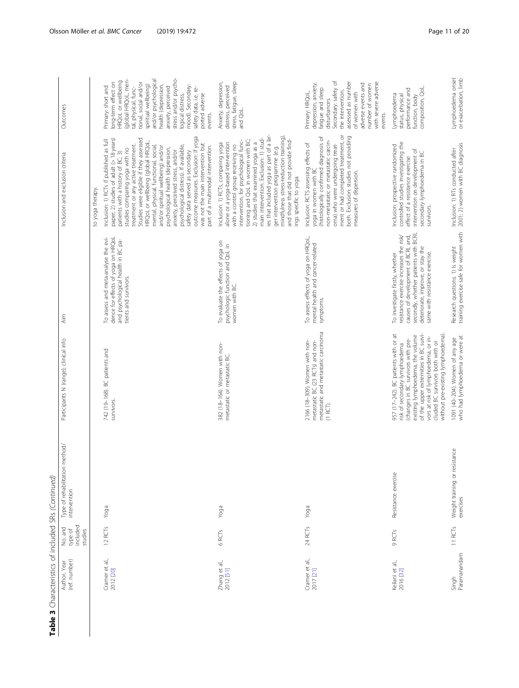| Table 3 Characteristics of included SRs (Continued) |                                           |                                                  |                                                                                                                                                                                                                                                                                                           |                                                                                                                                                                                                                                 |                                                                                                                                                                                                                                                                                                                                                                                                                                                                                                                                                                                                                                         |                                                                                                                                                                                                                                                                                                                                                               |
|-----------------------------------------------------|-------------------------------------------|--------------------------------------------------|-----------------------------------------------------------------------------------------------------------------------------------------------------------------------------------------------------------------------------------------------------------------------------------------------------------|---------------------------------------------------------------------------------------------------------------------------------------------------------------------------------------------------------------------------------|-----------------------------------------------------------------------------------------------------------------------------------------------------------------------------------------------------------------------------------------------------------------------------------------------------------------------------------------------------------------------------------------------------------------------------------------------------------------------------------------------------------------------------------------------------------------------------------------------------------------------------------------|---------------------------------------------------------------------------------------------------------------------------------------------------------------------------------------------------------------------------------------------------------------------------------------------------------------------------------------------------------------|
| (ref. number)<br>Author, Year                       | included<br>No. and<br>type of<br>studies | method<br>Type of rehabilitation<br>intervention | Participants N (range); clinical info                                                                                                                                                                                                                                                                     | Aim                                                                                                                                                                                                                             | Inclusion and exclusion criteria                                                                                                                                                                                                                                                                                                                                                                                                                                                                                                                                                                                                        | Outcomes                                                                                                                                                                                                                                                                                                                                                      |
|                                                     |                                           |                                                  |                                                                                                                                                                                                                                                                                                           |                                                                                                                                                                                                                                 | to yoga therapy.                                                                                                                                                                                                                                                                                                                                                                                                                                                                                                                                                                                                                        |                                                                                                                                                                                                                                                                                                                                                               |
| Cramer et al.,<br>2012 [20]                         | $12$ RCTs                                 | Yoga                                             | 742 (19-168). BC patients and<br>survivors.                                                                                                                                                                                                                                                               | dence for effects of yoga on HRQoL<br>and psychological health in BC pa-<br>To assess and meta-analyse the evi-<br>tients and survivors.                                                                                        | outcome measures. Exclusion: if yoga<br>Studies were eligible if they assessed<br>paper; 2) studies of adult (> 18 years)<br>Inclusion: 1) RCTs if published as full<br>HRQoL or wellbeing (global HRQoL,<br>was not the main intervention but<br>treatment or any active treatment.<br>mental, physical, functional, social,<br>psychological distress). If available,<br>part of a multimodal intervention.<br>and/or spiritual wellbeing) and/or<br>psychological health (depression,<br>studies comparing yoga with no<br>anxiety, perceived stress, and/or<br>safety data served as secondary<br>patients with a history of BC; 3) | stress and/or psycho-<br>and/or psychological<br>(global HRQoL, men-<br>HRQoL or wellbeing<br>long-term effect on<br>tional, social and/or<br>health (depression,<br>spiritual wellbeing)<br>mood). Secondary:<br>Primary: short and<br>tal, physical, func-<br>anxiety, perceived<br>safety data, i.e. re-<br>ported adverse<br>logical distress,<br>events. |
| Zhang et al.,<br>2012 [51]                          | 6 RCT <sub>S</sub>                        | Yoga                                             | 382 (18-164). Women with non-<br>metastatic or metastatic BC.                                                                                                                                                                                                                                             | To evaluate the effects of yoga on<br>psychologic function and QoL in<br>women with BC.                                                                                                                                         | ies that included yoga as part of a lar-<br>mindfulness stress-reduction training),<br>main intervention. Exclusion: 1) stud-<br>and those that did not provide find-<br>tioning and QoL in women with BC;<br>intervention, for psychological func-<br>2) studies that examined yoga as a<br>Inclusion: 1) RCTs, comparing yoga<br>alone or a yoga-based intervention<br>with a control group receiving no<br>ger intervention programme (e.g.<br>ings specific to yoga.                                                                                                                                                                | stress, fatigue, sleep<br>Anxiety, depression,<br>distress, perceived<br>and QoL                                                                                                                                                                                                                                                                              |
| Cramer et al.,<br>2017 [21]                         | $24$ RCTs                                 | Yoga                                             | metastatic and metastatic carcinoma<br>2166 (18-309). Women with non-<br>metastatic BC (23 RCTs) and non-<br>(1 RCT).                                                                                                                                                                                     | To assess effects of yoga on HRQoL,<br>mental health and cancer-related<br>symptoms.                                                                                                                                            | ment or had completed treatment, or<br>both. Exclusion: studies not providing<br>(histologically confirmed diagnosis of<br>non-metastatic or metastatic carcin-<br>Inclusion: RCTS assessing effects of<br>oma) who were undergoing treat-<br>yoga in women with BC<br>measures of dispersion.                                                                                                                                                                                                                                                                                                                                          | Secondary: safety of<br>assessed as number<br>with severe adverse<br>depression, anxiety,<br>adverse events and<br>number of women<br>fatigue and sleep<br>the intervention,<br>Primary: HRQoL,<br>of women with<br>disturbances.<br>events.                                                                                                                  |
| Keilani et al.,<br>2016 [32]                        | 9 RCT <sub>S</sub>                        | Resistance exercise                              | of the upper extremities in BC survi-<br>without pre-existing lymphoedema).<br>957 (17-242). BC patients with or at<br>existing lymphoedema, the volume<br>vors at risk of lymphoedema, or in-<br>(changes in BC survivors with pre-<br>cluded BC survivors both with or<br>risk of secondary lymphoedema | secondly, whether patients with BCRL<br>resistance exercise increases the risk/<br>causes of development of BCRL and,<br>deteriorate, improve, or stay the<br>same with resistance exercise.<br>To investigate firstly, whether | controlled studies investigating the<br>Inclusion: prospective randomized<br>intervention on development of<br>secondary lymphoedema in BC<br>effect of a resistance exercise<br>survivors.                                                                                                                                                                                                                                                                                                                                                                                                                                             | composition, QoL.<br>performance and<br>Lymphoedema<br>function, body<br>status, physical                                                                                                                                                                                                                                                                     |
| Paramanandam<br>Singh                               | $11$ RCTs                                 | Weight training or resistance<br>exercises       | who had lymphoedema or were at<br>1091 (40-204). Women of any age                                                                                                                                                                                                                                         | training exercise safe for women with<br>Research questions: 1) Is weight                                                                                                                                                       | 2001; 2) women with BC diagnosis<br>Inclusion: 1) RTs conducted after                                                                                                                                                                                                                                                                                                                                                                                                                                                                                                                                                                   | Lymphoedema onset<br>or exacerbation, limb                                                                                                                                                                                                                                                                                                                    |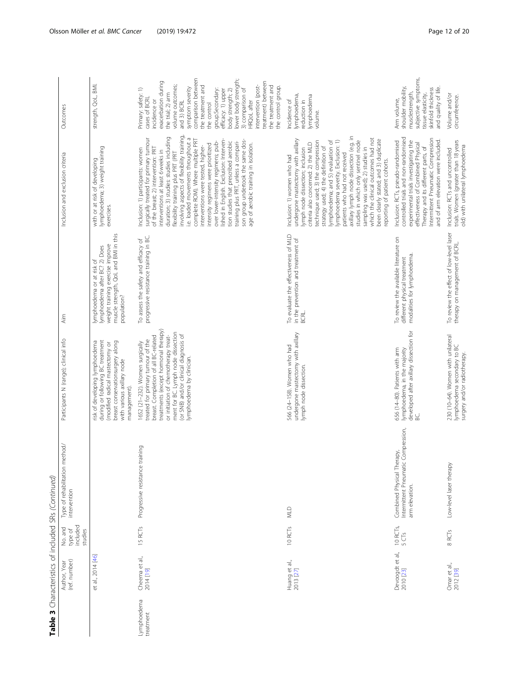|                          | (ref. number)<br>Author, Year | included<br>No. and<br>type of<br>studies | method<br>Type of rehabilitation<br>Table 3 Characteristics of included SRs (Continued)<br>intervention | Participants N (range); clinical info                                                                                                                                                                                                                                                                    | Aim                                                                                                                                                  | Inclusion and exclusion criteria                                                                                                                                                                                                                                                                                                                                                                                                                                                                                                                                                                                                                                                              | Outcomes                                                                                                                                                                                                                                                                                                                                                                                                                            |
|--------------------------|-------------------------------|-------------------------------------------|---------------------------------------------------------------------------------------------------------|----------------------------------------------------------------------------------------------------------------------------------------------------------------------------------------------------------------------------------------------------------------------------------------------------------|------------------------------------------------------------------------------------------------------------------------------------------------------|-----------------------------------------------------------------------------------------------------------------------------------------------------------------------------------------------------------------------------------------------------------------------------------------------------------------------------------------------------------------------------------------------------------------------------------------------------------------------------------------------------------------------------------------------------------------------------------------------------------------------------------------------------------------------------------------------|-------------------------------------------------------------------------------------------------------------------------------------------------------------------------------------------------------------------------------------------------------------------------------------------------------------------------------------------------------------------------------------------------------------------------------------|
|                          | et al., 2014 [46]             |                                           |                                                                                                         | during or following BC treatment<br>risk of developing lymphoedema<br>breast conservationsurgery along<br>(modified radical mastectomy or<br>with various axillary node<br>management).                                                                                                                  | muscle strength, QoL and BMI in this<br>weight training exercise improve<br>ymphoedema after BC? 2) Does<br>lymphoedema or at risk of<br>population? | lymphoedema; 3) weight training<br>with or at risk of developing<br>exercises.                                                                                                                                                                                                                                                                                                                                                                                                                                                                                                                                                                                                                | strength, QoL, BMI.                                                                                                                                                                                                                                                                                                                                                                                                                 |
| Lymphoedema<br>treatment | Cheema et al.,<br>2014 [19]   | 15 RCT <sub>S</sub>                       | training<br>Progressive resistance                                                                      | treatments (except hormonal therapy)<br>ment for BC. Lymph node dissection<br>(or SNB) and/or clinical diagnosis of<br>breast. Completion of all BC-related<br>or initiation of chemotherapy treat-<br>treated for primary tumour of the<br>1652 (21-232). Women surgically<br>lymphoedema by clinician. | progressive resistance training in BC.<br>To assess the safety and efficacy of                                                                       | involving aspects of flexibility training,<br>duration; 3) studies: studies including<br>i.e. loaded movements throughout a<br>surgically treated for primary tumour<br>complete ROM). Where multiple PRT<br>lished in English. Exclusion: Interven-<br>son group undertook the same dos-<br>training plus PRT, unless a compari-<br>tion studies that prescribed aerobic<br>over lower-intensity regimens; pub-<br>age of aerobic training in isolation.<br>intensity regimens were prioritized<br>interventions were tested, higher-<br>of the breast; 2) intervention: PRT<br>Inclusion: 1) participants: women<br>interventions at least 6 weeks in<br>flexibility training plus PRT (PRT | comparison between<br>lower body strength;<br>exacerbation during<br>treatment) between<br>volume outcomes;<br>the treatment and<br>intervention (post-<br>the treatment and<br>the control group.<br>symptom severity<br>Primary: safety: 1)<br>group.Secondary:<br>3) comparison of<br>body strength; 2)<br>efficacy: 1) upper<br>the trial; 2) arm<br>cases of BCRL<br>incidence or<br>HRQoL after<br>and 3) BCRL<br>the control |
|                          | Huang et al.,<br>2013 [27]    | 10 RCT <sub>S</sub>                       | QJM                                                                                                     | undergone mastectomy with axillary<br>566 (24-158). Women who had<br>lymph node dissection.                                                                                                                                                                                                              | To evaluate the effectiveness of MLD<br>in the prevention and treatment of<br>BCRL.                                                                  | axillary lymph node dissection (e.g. in<br>which the clinical outcomes had not<br>undergone mastectomy with axillary<br>been clearly stated; and 3) duplicate<br>lymphoedema severity. Exclusion: 1)<br>ymphoedema; and 5) evaluation of<br>studies in which only sentinel node<br>technique used; 3) the compression<br>criteria also concerned: 2) the MLD<br>strategy used; 4) the definition of<br>sampling was used); 2) studies in<br>lymph node dissection; inclusion<br>patients who had not received<br>Inclusion: 1) women who had<br>reporting of patient cohorts.                                                                                                                 | lymphoedema,<br>lymphoedema<br>Incidence of<br>reduction in<br>volume.                                                                                                                                                                                                                                                                                                                                                              |
|                          | Devoogdt et al.,<br>2010 [23] | $10 RCTs$<br>$5\,\mathrm{G}$              | Intermittent Pneumatic Compression,<br>Combined Physical Therapy,<br>arm elevation.                     | developed after axillary dissection for<br>656 (14-80). Patients with arm<br>lymphoedema, in the majority<br>0.<br>BC                                                                                                                                                                                    | To review the available literature on<br>modalities for lymphoedema.<br>different physical treatment                                                 | controlled trials and non-randomised<br>Intermittent Pneumatic Compression<br>and of arm elevation were included.<br>Inclusion: RCTs, pseudo-randomised<br>experimental trials investigating the<br>effectiveness of Combined Physical<br>Therapy and its different parts, of                                                                                                                                                                                                                                                                                                                                                                                                                 | subjective symptoms,<br>shoulder mobility,<br>and quality of life.<br>skinfold thickness<br>musclestrenath,<br>tissue elasticity,<br>Arm volume,                                                                                                                                                                                                                                                                                    |
|                          | Omar et al.,<br>2012 [39]     | 8 RCT <sub>S</sub>                        | Low-level laser therapy                                                                                 | 230 (10-64). Women with unilateral<br>lymphoedema secondary to BC<br>surgery and/or radiotherapy.                                                                                                                                                                                                        | To review the effect of low-level laser<br>therapy on management of BCRL                                                                             | trials. Women (greater than 18 years<br>old) with unilateral lymphoedema<br>Inclusion: RCTs and uncontrolled                                                                                                                                                                                                                                                                                                                                                                                                                                                                                                                                                                                  | Volume and/or<br>circumference.                                                                                                                                                                                                                                                                                                                                                                                                     |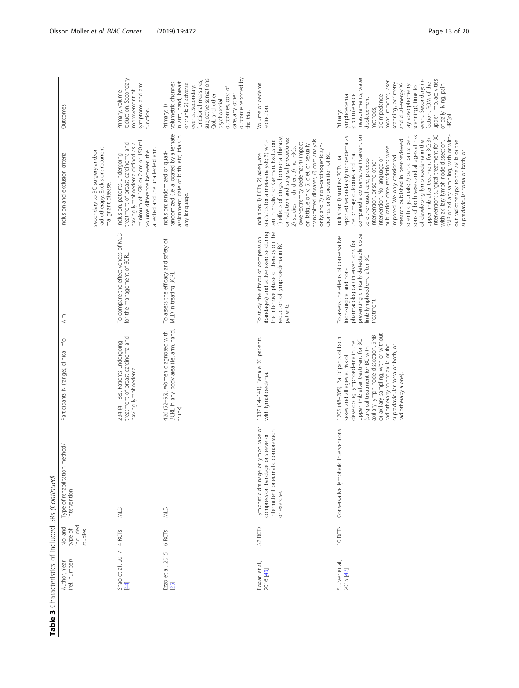| (ref. number)<br>Author, Year | included<br>No. and<br>type of<br>studies | method<br>Type of rehabilitation<br>intervention                                                                                 | Participants N (range); clinical info                                                                                                                                                                                                                                                                                                                           | Aim                                                                                                                                                                                        | Inclusion and exclusion criteria                                                                                                                                                                                                                                                                                                                                                                                                                                                                                                                                                                                                                                                                                                             | Outcomes                                                                                                                                                                                                                                                                                                                                   |
|-------------------------------|-------------------------------------------|----------------------------------------------------------------------------------------------------------------------------------|-----------------------------------------------------------------------------------------------------------------------------------------------------------------------------------------------------------------------------------------------------------------------------------------------------------------------------------------------------------------|--------------------------------------------------------------------------------------------------------------------------------------------------------------------------------------------|----------------------------------------------------------------------------------------------------------------------------------------------------------------------------------------------------------------------------------------------------------------------------------------------------------------------------------------------------------------------------------------------------------------------------------------------------------------------------------------------------------------------------------------------------------------------------------------------------------------------------------------------------------------------------------------------------------------------------------------------|--------------------------------------------------------------------------------------------------------------------------------------------------------------------------------------------------------------------------------------------------------------------------------------------------------------------------------------------|
|                               |                                           |                                                                                                                                  |                                                                                                                                                                                                                                                                                                                                                                 |                                                                                                                                                                                            | radiotherapy. Exclusion: recurrent<br>secondary to BC surgery and/or<br>malignant disease.                                                                                                                                                                                                                                                                                                                                                                                                                                                                                                                                                                                                                                                   |                                                                                                                                                                                                                                                                                                                                            |
| Shao et al., 2017<br>$[4]$    | 4RTs                                      | $\subseteq$                                                                                                                      | treatment of breast carcinoma and<br>234 (41-88). Patients undergoing<br>having lymphoedema.                                                                                                                                                                                                                                                                    | To compare the effectiveness of MLD<br>for the management of BCRL.                                                                                                                         | minimum of 10% or 2 cm or 150 mL<br>having lymphoedema defined as a<br>treatment of breast carcinoma and<br>affected and the unaffected arm.<br>volume difference between the<br>Inclusion: patients undergoing                                                                                                                                                                                                                                                                                                                                                                                                                                                                                                                              | reduction. Secondary:<br>symptoms and arm<br>improvement of<br>Primary: volume<br>function.                                                                                                                                                                                                                                                |
| Ezzo et al., 2015<br>[25]     | 6 RCT <sub>S</sub>                        | $\sum_{i=1}^{n}$                                                                                                                 | BCRL in any body area (i.e. arm, hand,<br>426 (52-95). Women diagnosed with<br>trunk).                                                                                                                                                                                                                                                                          | To assess the efficacy and safety of<br>MLD in treating BCRL                                                                                                                               | randomized (i.e. allocated by alternate<br>assignment, date of birth, etc) trials in<br>Inclusion: randomized or quasi-<br>any language.                                                                                                                                                                                                                                                                                                                                                                                                                                                                                                                                                                                                     | outcome reported by<br>subjective sensations,<br>functional measures,<br>in arm, hand, breast<br>volumetric changes<br>or trunk; 2) adverse<br>events. Secondary:<br>outcomes, cost of<br>care, any other<br>QoL and other<br>psychosocial<br>Primary: 1)<br>the trial.                                                                    |
| Rogan et al.,<br>2016 [43]    | RCT <sub>S</sub><br>$\mathfrak{Z}$        | Lymphatic drainage or lymph tape or<br>intermittent pneumatic compression<br>or sleeve or<br>compression bandage<br>or exercise. | 1337 (14-141). Female BC patients<br>with lymphoedema.                                                                                                                                                                                                                                                                                                          | (bandages) and active exercise during<br>the intensive phase of therapy on the<br>To study the effects of compression<br>reduction of lymphoedema in BC<br>patients.                       | 1) effects of drugs, hormonal therapy,<br>or radiation and surgical procedures;<br>transmitted diseases; 6) cost analysis<br>ten in English or German. Exclusion:<br>statistics for a meta-analysis; 3) writ-<br>lower-extremity oedema; 4) impact<br>only; and 7) non-carcinogenic syn-<br>on fatigue only; 5) diet, or sexually<br>2) studies in children; 3) non-BCs,<br>Inclusion: 1) RCTs; 2) adequate<br>dromes or 8) prevention of BC                                                                                                                                                                                                                                                                                                 | Volume or oedema<br>reduction.                                                                                                                                                                                                                                                                                                             |
| Stuiver et al.,<br>2015 [47]  | 10 RCT <sub>S</sub>                       | Conservative lymphatic interventions                                                                                             | or axillary sampling, with or without<br>axillary lymph node dissection, SNB<br>1205 (48-205). Participants of both<br>developing lymphoedema in the<br>upper limb after treatment for BC<br>radiotherapy to the axilla or the<br>supraclavicular fossa or both, or<br>(surgical treatment for BC with<br>sexes and all ages at risk of<br>radiotherapy alone). | preventing clinically detectable upper<br>To assess the effects of conservative<br>pharmacological) interventions for<br>limb lymphoedema after BC<br>(non-surgical and non-<br>treatment. | intervention: surgical treatment for BC<br>compared a conservative intervention<br>SNB or axillary sampling, with or with-<br>sons of both sexes and all ages at risk<br>reported secondary lymphoedema as<br>scientific journals; 2) participants: per-<br>upper limb after treatment for BC; 3)<br>research published in peer-reviewed<br>of developing lymphoedema in the<br>with axillary lymph node dissection,<br>out radiotherapy to the axilla or the<br>publication date restrictions were<br>supraclavicular fossa or both; or<br>the primary outcome, and that<br>Inclusion: 1) studies: RCTs that<br>imposed. We only considered<br>intervention. No language or<br>to either usual care, placebo<br>intervention, or some other | measurements, water<br>upper limb, activities<br>event. Secondary: in-<br>measurements, laser<br>scanning, perimetry<br>fection, ROM of the<br>of daily living, pain,<br>and dual-energy X-<br>ray absorptiometry<br>scanning), time to<br>(circumference<br>bioimpedance<br>lymphoedema<br>displacement<br>methods,<br>Primary:<br>HRQoL. |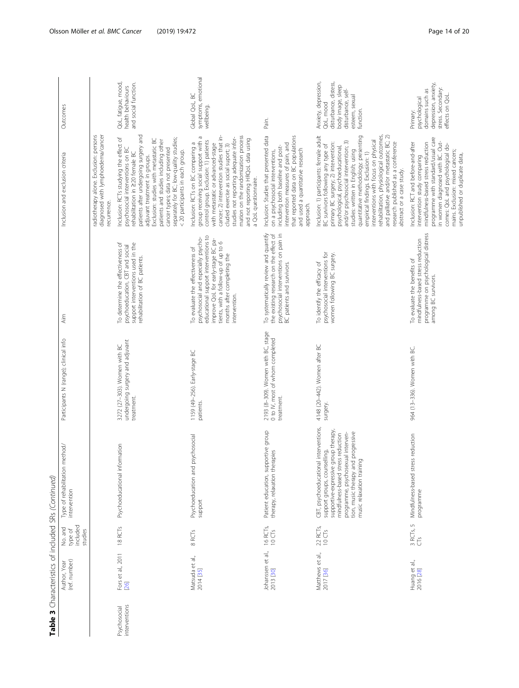|                               | Table 3 Characteristics of included SRs (Continued) |                                           |                                                                                                                                                                                                                                                              |                                                                                     |                                                                                                                                                                                                                                              |                                                                                                                                                                                                                                                                                                                                                                                                                                                                                                                         |                                                                                                                                      |
|-------------------------------|-----------------------------------------------------|-------------------------------------------|--------------------------------------------------------------------------------------------------------------------------------------------------------------------------------------------------------------------------------------------------------------|-------------------------------------------------------------------------------------|----------------------------------------------------------------------------------------------------------------------------------------------------------------------------------------------------------------------------------------------|-------------------------------------------------------------------------------------------------------------------------------------------------------------------------------------------------------------------------------------------------------------------------------------------------------------------------------------------------------------------------------------------------------------------------------------------------------------------------------------------------------------------------|--------------------------------------------------------------------------------------------------------------------------------------|
|                               | (ref. number)<br>Author, Year                       | included<br>No. and<br>type of<br>studies | Type of rehabilitation method/<br>intervention                                                                                                                                                                                                               | Participants N (range); clinical info                                               | Aim                                                                                                                                                                                                                                          | Inclusion and exclusion criteria                                                                                                                                                                                                                                                                                                                                                                                                                                                                                        | Outcomes                                                                                                                             |
|                               |                                                     |                                           |                                                                                                                                                                                                                                                              |                                                                                     |                                                                                                                                                                                                                                              | radiotherapy alone. Exclusion: persons<br>diagnosed with lymphoedema/cancer<br>recurrence.                                                                                                                                                                                                                                                                                                                                                                                                                              |                                                                                                                                      |
| interventions<br>Psychosocial | Fors et al., 2011<br>[26]                           | 18 RCT <sub>S</sub>                       | Psychoeducational information                                                                                                                                                                                                                                | undergoing surgery and adjuvant<br>3272 (27-303). Women with BC<br>treatment.       | To determine the effectiveness of<br>support interventions used in the<br>psychoeducation, CBT and social<br>rehabilitation of BC patients.                                                                                                  | patients after undergoing surgery and<br>Inclusion: RCTs studying the effect of<br>separately for BC; low-quality studies;<br>Exclusion: studies with metastatic BC<br>patients and studies including other<br>psychosocial interventions on BC<br>cancer types; data not presented<br>< 20 participants in each group.<br>rehabilitation in 220 female BC<br>adjuvant treatment in groups.                                                                                                                             | QoL, fatique, mood,<br>and social function.<br>health behaviours                                                                     |
|                               | Matsuda et al.,<br>2014 [35]                        | 8 RCT <sub>S</sub>                        | Psychoeducation and psychosocial<br>support                                                                                                                                                                                                                  | 1159 (49-256). Early-stage BC<br>patients.                                          | educational support interventions to<br>psychosocial and especially psycho-<br>improve QoL for early-stage BC pa-<br>tients, with a follow-up of up to 6<br>To evaluate the effectiveness of<br>months after completing the<br>intervention. | mation on the randomization process<br>cancer; 2) intervention studies that in-<br>group receiving social support with a<br>studies not reporting adequate infor-<br>and not reporting HRQoL data using<br>control group. Exclusion: 1) patients<br>Inclusion: RCTs on BC comparing a<br>with metastatic or advanced-stage<br>cluded exercise as social suport; 3)<br>a QoL questionnaire.                                                                                                                              | symptoms, emotional<br>Global QoL, BC<br>wellbeing.                                                                                  |
|                               | Johanssen et al.,<br>2013 [30]                      | 16 RCT <sub>S</sub><br>$10\,$ CTs         | Patient education, supportive group<br>therapy, relaxation therapies                                                                                                                                                                                         | 2193 (8-309). Women with BC, stage<br>0 to IV, most of whom completed<br>treatment. | To systematically review and quantify<br>the existing research on the effect of<br>psychosocial interventions on pain in<br>BC patients and survivors.                                                                                       | Inclusion: Studies that presented data<br>that reported data on BC populations<br>intervention measures of pain, and<br>including both baseline and post-<br>and used a quantitative research<br>on a psychosocial interventions,<br>approach.                                                                                                                                                                                                                                                                          | Pain.                                                                                                                                |
|                               | Matthews et al.,<br>2017 [36]                       | $22$ RCTs,<br>10 CTs                      | CBT, psychoeducational interventions,<br>supportive-expressive group therapy,<br>tion, music therapy and progressive<br>programme, psychosexual interven-<br>mindfulness-based stress reduction<br>support groups, counselling,<br>music relaxation training | 4148 (20-442). Women after BC<br>surgery.                                           | psychosocial interventions for<br>women following BC surgery.<br>To identify the efficacy of                                                                                                                                                 | rehabilitation, physiological outcomes,<br>Inclusion: 1) participants: female adult<br>quantitative methodology; presenting<br>and palliative and/or metastatic BC; 2)<br>interventions with focus on physical<br>and/or psychosocial intervention; 3)<br>research published as a conference<br>primary BC surgery; 2) intervention:<br>BC survivors following any type of<br>psychological, psychoeducational,<br>studies: written in English; using<br>empirical findings. Exclusion: 1)<br>abstract or a case study. | Anxiety, depression,<br>disturbance, distess,<br>body image, sleep<br>disturbance, self-<br>esteem, sexual<br>QoL, mood<br>function. |
|                               | Huang et al.,<br>2016 [28]                          | $3$ RCTs, $5$<br>Ű                        | Mindfulness-based stress reduction<br>programme                                                                                                                                                                                                              | 964 (13-336). Women with BC.                                                        | programme on psychological distress<br>mindfulness-based stress reduction<br>To evaluate the benefits of<br>among BC survivors.                                                                                                              | programme with standard/usual care<br>in women diagnosed with BC. Out-<br>mindfulness-based stress reduction<br>Inclusion: RCT and before-and-after<br>comes: QoL and psychological do-<br>mains. Exclusion: mixed cancers;<br>unpublished or duplicate data.<br>intervention study comparing                                                                                                                                                                                                                           | depression, anxiety,<br>stress. Secondary:<br>domains such as<br>effects on QoL<br>psychological<br>Primary:                         |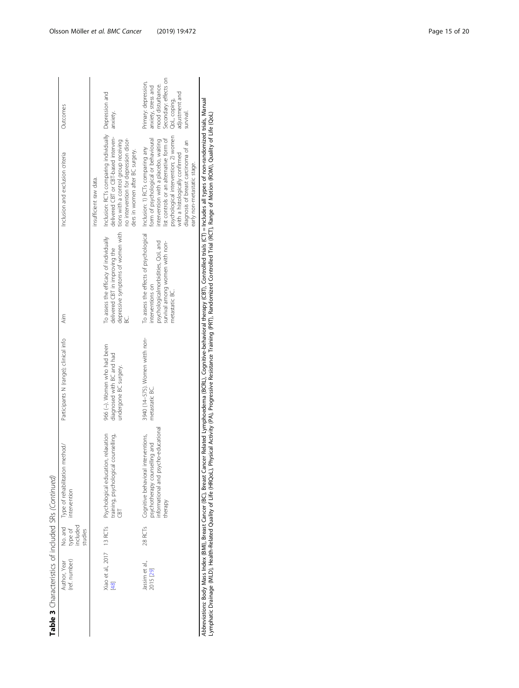|                                                     | Outcomes                                               |                        | anxiety.                                                                                                                                                                  | Secondary: effects on<br>Primary: depression,<br>mood disturbance.<br>anxiety, stress and<br>adjustment and<br>QoL, coping,<br>survival.                                                                                                                                 |
|-----------------------------------------------------|--------------------------------------------------------|------------------------|---------------------------------------------------------------------------------------------------------------------------------------------------------------------------|--------------------------------------------------------------------------------------------------------------------------------------------------------------------------------------------------------------------------------------------------------------------------|
|                                                     | Inclusion and exclusion criteria                       | insufficient raw data. | Inclusion: RCTs comparing individually Depression and<br>delivered CBT or CBT-based interven-<br>no intervention for depression disor-<br>ders in women after BC surgery. | osychological intervention; 2) women<br>list controls or an alternative form of<br>form of psychological or behavioural<br>intervention with a placebo, waiting<br>diagnosis of breast carcinoma of an<br>with a histologically confirmed<br>early non-metastatic stage. |
|                                                     | Aim                                                    |                        | depressive symptoms of women with tions with a control group receiving<br>To assess the efficacy of individually<br>delivered CBT in improving the                        | To assess the effects of psychological Inclusion: 1) RCTs comparing any<br>psychologicalmorbidities, QoL and<br>survival among women with non-<br>interventions on<br>metastatic BC.                                                                                     |
|                                                     | Participants N (range); clinical info                  |                        | 966 (-). Women who had been<br>diagnosed with BC and had<br>undergone BC surgery.                                                                                         | 3940 (14-575). Women witth non-<br>metastatic BC.                                                                                                                                                                                                                        |
|                                                     | No. and Type of rehabilitation method/<br>intervention |                        | Psychological education, relaxation<br>training, psychological counselling,<br>5                                                                                          | informational and psycho-educational<br>Cognitive behavioral interventions,<br>psychotherapy counselling and<br>therapy                                                                                                                                                  |
|                                                     | type of<br>included<br>studies                         |                        |                                                                                                                                                                           | 28 RCT <sub>5</sub>                                                                                                                                                                                                                                                      |
| Table 3 Characteristics of included SRs (Continued) | (ref. number)<br>Author, Year                          |                        | Xiao et al., $2017$ 13 RCTs<br>$\frac{1}{2}$                                                                                                                              | Jassim et al.,<br>2015 [29]                                                                                                                                                                                                                                              |
|                                                     |                                                        |                        |                                                                                                                                                                           |                                                                                                                                                                                                                                                                          |

Abbreviations: Body Mass Index (BMI), Breast Cancer (BC), Breast Cancer Related Lymphoedema (BCRL), Cognitive-behavioral therapy (CBT), Controlled trials (CT) = Includes all types of non-randomized trials, Manual<br>Lymphatic Abbreviations: Body Mass Index (BMI), Breast Cancer (BCI), Breast Cancer Related Lymphoedema (BCRL), Cognitive-behavioral therapy (CBT), Controlled trials (CT) = Includes all types of non-randomized trials, Manual Lymphatic Drainage (MLD), Health-Related Quality of Life (HRQoL), Physical Activity (PA), Progressive Resistance Training (PRT), Randomized Controlled Trial (RCT), Range of Motion (ROM), Quality of Life (QoL)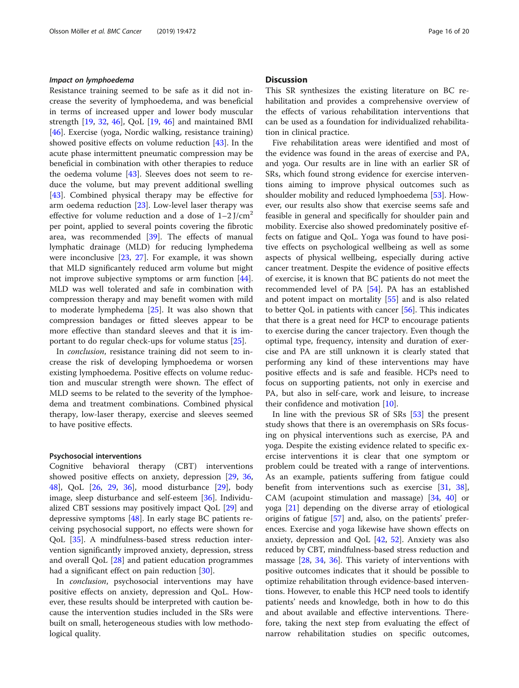#### Impact on lymphoedema

Resistance training seemed to be safe as it did not increase the severity of lymphoedema, and was beneficial in terms of increased upper and lower body muscular strength [\[19,](#page-18-0) [32,](#page-18-0) [46](#page-18-0)], QoL [\[19,](#page-18-0) [46\]](#page-18-0) and maintained BMI [[46\]](#page-18-0). Exercise (yoga, Nordic walking, resistance training) showed positive effects on volume reduction [\[43](#page-18-0)]. In the acute phase intermittent pneumatic compression may be beneficial in combination with other therapies to reduce the oedema volume [\[43](#page-18-0)]. Sleeves does not seem to reduce the volume, but may prevent additional swelling [[43\]](#page-18-0). Combined physical therapy may be effective for arm oedema reduction [\[23](#page-18-0)]. Low-level laser therapy was effective for volume reduction and a dose of  $1-2$  J/cm<sup>2</sup> per point, applied to several points covering the fibrotic area, was recommended [[39\]](#page-18-0). The effects of manual lymphatic drainage (MLD) for reducing lymphedema were inconclusive [[23,](#page-18-0) [27](#page-18-0)]. For example, it was shown that MLD significantely reduced arm volume but might not improve subjective symptoms or arm function [\[44](#page-18-0)]. MLD was well tolerated and safe in combination with compression therapy and may benefit women with mild to moderate lymphedema [[25](#page-18-0)]. It was also shown that compression bandages or fitted sleeves appear to be more effective than standard sleeves and that it is important to do regular check-ups for volume status [[25\]](#page-18-0).

In conclusion, resistance training did not seem to increase the risk of developing lymphoedema or worsen existing lymphoedema. Positive effects on volume reduction and muscular strength were shown. The effect of MLD seems to be related to the severity of the lymphoedema and treatment combinations. Combined physical therapy, low-laser therapy, exercise and sleeves seemed to have positive effects.

#### Psychosocial interventions

Cognitive behavioral therapy (CBT) interventions showed positive effects on anxiety, depression [[29,](#page-18-0) [36](#page-18-0), [48\]](#page-18-0), QoL [[26](#page-18-0), [29](#page-18-0), [36\]](#page-18-0), mood disturbance [\[29](#page-18-0)], body image, sleep disturbance and self-esteem [[36\]](#page-18-0). Individualized CBT sessions may positively impact QoL [\[29](#page-18-0)] and depressive symptoms [\[48](#page-18-0)]. In early stage BC patients receiving psychosocial support, no effects were shown for QoL [\[35\]](#page-18-0). A mindfulness-based stress reduction intervention significantly improved anxiety, depression, stress and overall QoL [\[28\]](#page-18-0) and patient education programmes had a significant effect on pain reduction [\[30](#page-18-0)].

In conclusion, psychosocial interventions may have positive effects on anxiety, depression and QoL. However, these results should be interpreted with caution because the intervention studies included in the SRs were built on small, heterogeneous studies with low methodological quality.

#### **Discussion**

This SR synthesizes the existing literature on BC rehabilitation and provides a comprehensive overview of the effects of various rehabilitation interventions that can be used as a foundation for individualized rehabilitation in clinical practice.

Five rehabilitation areas were identified and most of the evidence was found in the areas of exercise and PA, and yoga. Our results are in line with an earlier SR of SRs, which found strong evidence for exercise interventions aiming to improve physical outcomes such as shoulder mobility and reduced lymphoedema [\[53](#page-19-0)]. However, our results also show that exercise seems safe and feasible in general and specifically for shoulder pain and mobility. Exercise also showed predominately positive effects on fatigue and QoL. Yoga was found to have positive effects on psychological wellbeing as well as some aspects of physical wellbeing, especially during active cancer treatment. Despite the evidence of positive effects of exercise, it is known that BC patients do not meet the recommended level of PA [\[54](#page-19-0)]. PA has an established and potent impact on mortality [[55\]](#page-19-0) and is also related to better QoL in patients with cancer [[56](#page-19-0)]. This indicates that there is a great need for HCP to encourage patients to exercise during the cancer trajectory. Even though the optimal type, frequency, intensity and duration of exercise and PA are still unknown it is clearly stated that performing any kind of these interventions may have positive effects and is safe and feasible. HCPs need to focus on supporting patients, not only in exercise and PA, but also in self-care, work and leisure, to increase their confidence and motivation [\[10\]](#page-17-0).

In line with the previous SR of SRs [[53\]](#page-19-0) the present study shows that there is an overemphasis on SRs focusing on physical interventions such as exercise, PA and yoga. Despite the existing evidence related to specific exercise interventions it is clear that one symptom or problem could be treated with a range of interventions. As an example, patients suffering from fatigue could benefit from interventions such as exercise [\[31](#page-18-0), [38](#page-18-0)], CAM (acupoint stimulation and massage) [\[34](#page-18-0), [40](#page-18-0)] or yoga [[21\]](#page-18-0) depending on the diverse array of etiological origins of fatigue [\[57](#page-19-0)] and, also, on the patients' preferences. Exercise and yoga likewise have shown effects on anxiety, depression and QoL [\[42](#page-18-0), [52](#page-18-0)]. Anxiety was also reduced by CBT, mindfulness-based stress reduction and massage [[28,](#page-18-0) [34,](#page-18-0) [36\]](#page-18-0). This variety of interventions with positive outcomes indicates that it should be possible to optimize rehabilitation through evidence-based interventions. However, to enable this HCP need tools to identify patients' needs and knowledge, both in how to do this and about available and effective interventions. Therefore, taking the next step from evaluating the effect of narrow rehabilitation studies on specific outcomes,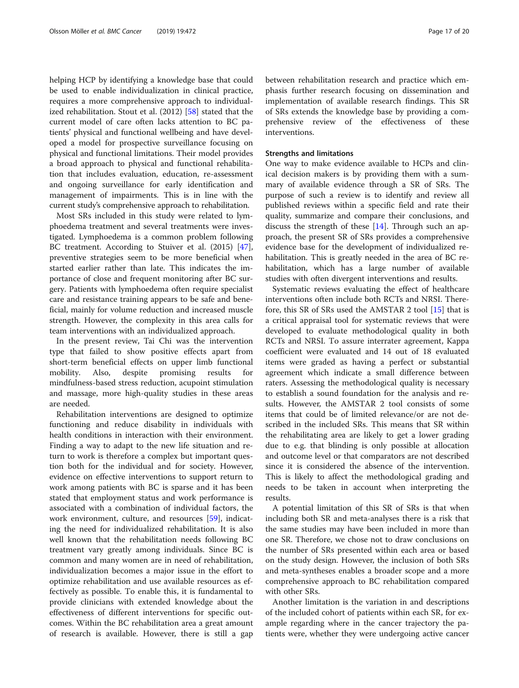helping HCP by identifying a knowledge base that could be used to enable individualization in clinical practice, requires a more comprehensive approach to individualized rehabilitation. Stout et al. (2012) [\[58](#page-19-0)] stated that the current model of care often lacks attention to BC patients' physical and functional wellbeing and have developed a model for prospective surveillance focusing on physical and functional limitations. Their model provides a broad approach to physical and functional rehabilitation that includes evaluation, education, re-assessment and ongoing surveillance for early identification and management of impairments. This is in line with the current study's comprehensive approach to rehabilitation.

Most SRs included in this study were related to lymphoedema treatment and several treatments were investigated. Lymphoedema is a common problem following BC treatment. According to Stuiver et al. (2015) [\[47](#page-18-0)], preventive strategies seem to be more beneficial when started earlier rather than late. This indicates the importance of close and frequent monitoring after BC surgery. Patients with lymphoedema often require specialist care and resistance training appears to be safe and beneficial, mainly for volume reduction and increased muscle strength. However, the complexity in this area calls for team interventions with an individualized approach.

In the present review, Tai Chi was the intervention type that failed to show positive effects apart from short-term beneficial effects on upper limb functional mobility. Also, despite promising results for mindfulness-based stress reduction, acupoint stimulation and massage, more high-quality studies in these areas are needed.

Rehabilitation interventions are designed to optimize functioning and reduce disability in individuals with health conditions in interaction with their environment. Finding a way to adapt to the new life situation and return to work is therefore a complex but important question both for the individual and for society. However, evidence on effective interventions to support return to work among patients with BC is sparse and it has been stated that employment status and work performance is associated with a combination of individual factors, the work environment, culture, and resources [\[59](#page-19-0)], indicating the need for individualized rehabilitation. It is also well known that the rehabilitation needs following BC treatment vary greatly among individuals. Since BC is common and many women are in need of rehabilitation, individualization becomes a major issue in the effort to optimize rehabilitation and use available resources as effectively as possible. To enable this, it is fundamental to provide clinicians with extended knowledge about the effectiveness of different interventions for specific outcomes. Within the BC rehabilitation area a great amount of research is available. However, there is still a gap

between rehabilitation research and practice which emphasis further research focusing on dissemination and implementation of available research findings. This SR of SRs extends the knowledge base by providing a comprehensive review of the effectiveness of these interventions.

#### Strengths and limitations

One way to make evidence available to HCPs and clinical decision makers is by providing them with a summary of available evidence through a SR of SRs. The purpose of such a review is to identify and review all published reviews within a specific field and rate their quality, summarize and compare their conclusions, and discuss the strength of these  $[14]$  $[14]$ . Through such an approach, the present SR of SRs provides a comprehensive evidence base for the development of individualized rehabilitation. This is greatly needed in the area of BC rehabilitation, which has a large number of available studies with often divergent interventions and results.

Systematic reviews evaluating the effect of healthcare interventions often include both RCTs and NRSI. Therefore, this SR of SRs used the AMSTAR 2 tool [\[15](#page-18-0)] that is a critical appraisal tool for systematic reviews that were developed to evaluate methodological quality in both RCTs and NRSI. To assure interrater agreement, Kappa coefficient were evaluated and 14 out of 18 evaluated items were graded as having a perfect or substantial agreement which indicate a small difference between raters. Assessing the methodological quality is necessary to establish a sound foundation for the analysis and results. However, the AMSTAR 2 tool consists of some items that could be of limited relevance/or are not described in the included SRs. This means that SR within the rehabilitating area are likely to get a lower grading due to e.g. that blinding is only possible at allocation and outcome level or that comparators are not described since it is considered the absence of the intervention. This is likely to affect the methodological grading and needs to be taken in account when interpreting the results.

A potential limitation of this SR of SRs is that when including both SR and meta-analyses there is a risk that the same studies may have been included in more than one SR. Therefore, we chose not to draw conclusions on the number of SRs presented within each area or based on the study design. However, the inclusion of both SRs and meta-syntheses enables a broader scope and a more comprehensive approach to BC rehabilitation compared with other SRs.

Another limitation is the variation in and descriptions of the included cohort of patients within each SR, for example regarding where in the cancer trajectory the patients were, whether they were undergoing active cancer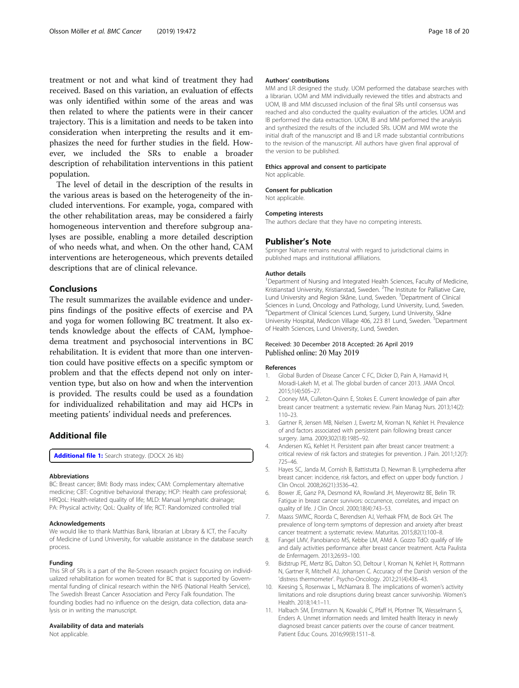<span id="page-17-0"></span>treatment or not and what kind of treatment they had received. Based on this variation, an evaluation of effects was only identified within some of the areas and was then related to where the patients were in their cancer trajectory. This is a limitation and needs to be taken into consideration when interpreting the results and it emphasizes the need for further studies in the field. However, we included the SRs to enable a broader description of rehabilitation interventions in this patient population.

The level of detail in the description of the results in the various areas is based on the heterogeneity of the included interventions. For example, yoga, compared with the other rehabilitation areas, may be considered a fairly homogeneous intervention and therefore subgroup analyses are possible, enabling a more detailed description of who needs what, and when. On the other hand, CAM interventions are heterogeneous, which prevents detailed descriptions that are of clinical relevance.

#### Conclusions

The result summarizes the available evidence and underpins findings of the positive effects of exercise and PA and yoga for women following BC treatment. It also extends knowledge about the effects of CAM, lymphoedema treatment and psychosocial interventions in BC rehabilitation. It is evident that more than one intervention could have positive effects on a specific symptom or problem and that the effects depend not only on intervention type, but also on how and when the intervention is provided. The results could be used as a foundation for individualized rehabilitation and may aid HCPs in meeting patients' individual needs and preferences.

#### Additional file

[Additional file 1:](https://doi.org/10.1186/s12885-019-5648-7) Search strategy. (DOCX 26 kb)

#### Abbreviations

BC: Breast cancer; BMI: Body mass index; CAM: Complementary alternative medicine; CBT: Cognitive behavioral therapy; HCP: Health care professional; HRQoL: Health-related quality of life; MLD: Manual lymphatic drainage; PA: Physical activity; QoL: Quality of life; RCT: Randomized controlled trial

#### Acknowledgements

We would like to thank Matthias Bank, librarian at Library & ICT, the Faculty of Medicine of Lund University, for valuable assistance in the database search process.

#### Funding

This SR of SRs is a part of the Re-Screen research project focusing on individualized rehabilitation for women treated for BC that is supported by Governmental funding of clinical research within the NHS (National Health Service), The Swedish Breast Cancer Association and Percy Falk foundation. The founding bodies had no influence on the design, data collection, data analysis or in writing the manuscript.

#### Availability of data and materials

Not applicable.

#### Authors' contributions

MM and LR designed the study. UOM performed the database searches with a librarian. UOM and MM individually reviewed the titles and abstracts and UOM, IB and MM discussed inclusion of the final SRs until consensus was reached and also conducted the quality evaluation of the articles. UOM and IB performed the data extraction. UOM, IB and MM performed the analysis and synthesized the results of the included SRs. UOM and MM wrote the initial draft of the manuscript and IB and LR made substantial contributions to the revision of the manuscript. All authors have given final approval of the version to be published.

#### Ethics approval and consent to participate

Not applicable.

#### Consent for publication

Not applicable.

#### Competing interests

The authors declare that they have no competing interests.

#### Publisher's Note

Springer Nature remains neutral with regard to jurisdictional claims in published maps and institutional affiliations.

#### Author details

<sup>1</sup>Department of Nursing and Integrated Health Sciences, Faculty of Medicine Kristianstad University, Kristianstad, Sweden. <sup>2</sup>The Institute for Palliative Care Lund University and Region Skåne, Lund, Sweden. <sup>3</sup>Department of Clinical Sciences in Lund, Oncology and Pathology, Lund University, Lund, Sweden. 4 Department of Clinical Sciences Lund, Surgery, Lund University, Skåne University Hospital, Medicon Village 406, 223 81 Lund, Sweden. <sup>5</sup>Department of Health Sciences, Lund University, Lund, Sweden.

#### Received: 30 December 2018 Accepted: 26 April 2019 Published online: 20 May 2019

#### References

- 1. Global Burden of Disease Cancer C FC, Dicker D, Pain A, Hamavid H, Moradi-Lakeh M, et al. The global burden of cancer 2013. JAMA Oncol. 2015;1(4):505–27.
- 2. Cooney MA, Culleton-Quinn E, Stokes E. Current knowledge of pain after breast cancer treatment: a systematic review. Pain Manag Nurs. 2013;14(2): 110–23.
- 3. Gartner R, Jensen MB, Nielsen J, Ewertz M, Kroman N, Kehlet H. Prevalence of and factors associated with persistent pain following breast cancer surgery. Jama. 2009;302(18):1985–92.
- 4. Andersen KG, Kehlet H. Persistent pain after breast cancer treatment: a critical review of risk factors and strategies for prevention. J Pain. 2011;12(7): 725–46.
- 5. Hayes SC, Janda M, Cornish B, Battistutta D, Newman B. Lymphedema after breast cancer: incidence, risk factors, and effect on upper body function. J Clin Oncol. 2008;26(21):3536–42.
- 6. Bower JE, Ganz PA, Desmond KA, Rowland JH, Meyerowitz BE, Belin TR. Fatigue in breast cancer survivors: occurrence, correlates, and impact on quality of life. J Clin Oncol. 2000;18(4):743–53.
- 7. Maass SWMC, Roorda C, Berendsen AJ, Verhaak PFM, de Bock GH. The prevalence of long-term symptoms of depression and anxiety after breast cancer treatment: a systematic review. Maturitas. 2015;82(1):100–8.
- 8. Fangel LMV, Panobianco MS, Kebbe LM, AMd A. Gozzo TdO: qualify of life and daily activities performance after breast cancer treatment. Acta Paulista de Enfermagem. 2013;26:93–100.
- 9. Bidstrup PE, Mertz BG, Dalton SO, Deltour I, Kroman N, Kehlet H, Rottmann N, Gartner R, Mitchell AJ, Johansen C. Accuracy of the Danish version of the 'distress thermometer'. Psycho-Oncology. 2012;21(4):436–43.
- 10. Keesing S, Rosenwax L, McNamara B. The implications of women's activity limitations and role disruptions during breast cancer survivorship. Women's Health. 2018;14:1–11.
- 11. Halbach SM, Ernstmann N, Kowalski C, Pfaff H, Pfortner TK, Wesselmann S, Enders A. Unmet information needs and limited health literacy in newly diagnosed breast cancer patients over the course of cancer treatment. Patient Educ Couns. 2016;99(9):1511–8.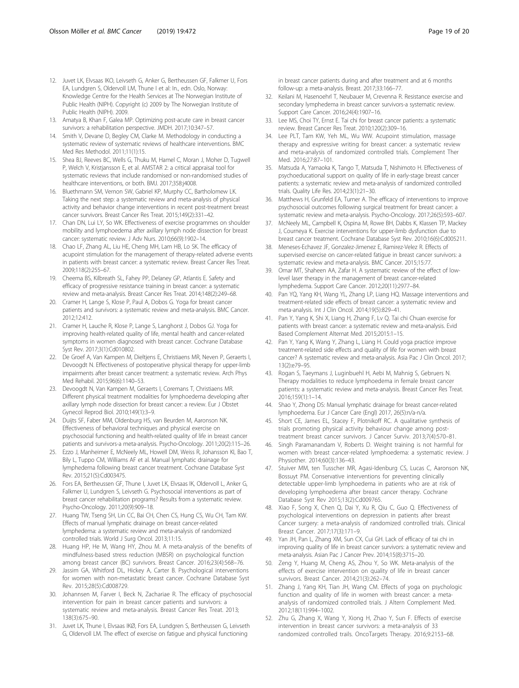- <span id="page-18-0"></span>12. Juvet LK, Elvsaas IKO, Leivseth G, Anker G, Bertheussen GF, Falkmer U, Fors EA, Lundgren S, Oldervoll LM, Thune I et al: In., edn. Oslo, Norway: Knowledge Centre for the Health Services at The Norwegian Institute of Public Health (NIPH). Copyright (c) 2009 by The Norwegian Institute of Public Health (NIPH). 2009.
- 13. Amatya B, Khan F, Galea MP. Optimizing post-acute care in breast cancer survivors: a rehabilitation perspective. JMDH. 2017;10:347–57.
- 14. Smith V, Devane D, Begley CM, Clarke M. Methodology in conducting a systematic review of systematic reviews of healthcare interventions. BMC Med Res Methodol. 2011;11(1):15.
- 15. Shea BJ, Reeves BC, Wells G, Thuku M, Hamel C, Moran J, Moher D, Tugwell P, Welch V, Kristjansson E, et al. AMSTAR 2: a critical appraisal tool for systematic reviews that include randomised or non-randomised studies of healthcare interventions, or both. BMJ. 2017;358:j4008.
- 16. Bluethmann SM, Vernon SW, Gabriel KP, Murphy CC, Bartholomew LK. Taking the next step: a systematic review and meta-analysis of physical activity and behavior change interventions in recent post-treatment breast cancer survivors. Breast Cancer Res Treat. 2015;149(2):331–42.
- 17. Chan DN, Lui LY, So WK. Effectiveness of exercise programmes on shoulder mobility and lymphoedema after axillary lymph node dissection for breast cancer: systematic review. J Adv Nurs. 2010;66(9):1902–14.
- 18. Chao LF, Zhang AL, Liu HE, Cheng MH, Lam HB, Lo SK. The efficacy of acupoint stimulation for the management of therapy-related adverse events in patients with breast cancer: a systematic review. Breast Cancer Res Treat. 2009;118(2):255–67.
- 19. Cheema BS, Kilbreath SL, Fahey PP, Delaney GP, Atlantis E. Safety and efficacy of progressive resistance training in breast cancer: a systematic review and meta-analysis. Breast Cancer Res Treat. 2014;148(2):249–68.
- 20. Cramer H, Lange S, Klose P, Paul A, Dobos G. Yoga for breast cancer patients and survivors: a systematic review and meta-analysis. BMC Cancer. 2012;12:412.
- 21. Cramer H, Lauche R, Klose P, Lange S, Langhorst J, Dobos GJ. Yoga for improving health-related quality of life, mental health and cancer-related symptoms in women diagnosed with breast cancer. Cochrane Database Syst Rev. 2017;3(1):Cd010802.
- 22. De Groef A, Van Kampen M, Dieltjens E, Christiaens MR, Neven P, Geraerts I, Devoogdt N. Effectiveness of postoperative physical therapy for upper-limb impairments after breast cancer treatment: a systematic review. Arch Phys Med Rehabil. 2015;96(6):1140–53.
- 23. Devoogdt N, Van Kampen M, Geraerts I, Coremans T, Christiaens MR. Different physical treatment modalities for lymphoedema developing after axillary lymph node dissection for breast cancer: a review. Eur J Obstet Gynecol Reprod Biol. 2010;149(1):3–9.
- 24. Duijts SF, Faber MM, Oldenburg HS, van Beurden M, Aaronson NK. Effectiveness of behavioral techniques and physical exercise on psychosocial functioning and health-related quality of life in breast cancer patients and survivors-a meta-analysis. Psycho-Oncology. 2011;20(2):115–26.
- 25. Ezzo J, Manheimer E, McNeely ML, Howell DM, Weiss R, Johansson KI, Bao T, Bily L, Tuppo CM, Williams AF et al. Manual lymphatic drainage for lymphedema following breast cancer treatment. Cochrane Database Syst Rev. 2015;21(5):Cd003475.
- 26. Fors EA, Bertheussen GF, Thune I, Juvet LK, Elvsaas IK, Oldervoll L, Anker G, Falkmer U, Lundgren S, Leivseth G. Psychosocial interventions as part of breast cancer rehabilitation programs? Results from a systematic review. Psycho-Oncology. 2011;20(9):909–18.
- 27. Huang TW, Tseng SH, Lin CC, Bai CH, Chen CS, Hung CS, Wu CH, Tam KW. Effects of manual lymphatic drainage on breast cancer-related lymphedema: a systematic review and meta-analysis of randomized controlled trials. World J Surg Oncol. 2013;11:15.
- 28. Huang HP, He M, Wang HY, Zhou M. A meta-analysis of the benefits of mindfulness-based stress reduction (MBSR) on psychological function among breast cancer (BC) survivors. Breast Cancer. 2016;23(4):568–76.
- 29. Jassim GA, Whitford DL, Hickey A, Carter B. Psychological interventions for women with non-metastatic breast cancer. Cochrane Database Syst Rev. 2015;28(5):Cd008729.
- 30. Johannsen M, Farver I, Beck N, Zachariae R. The efficacy of psychosocial intervention for pain in breast cancer patients and survivors: a systematic review and meta-analysis. Breast Cancer Res Treat. 2013; 138(3):675–90.
- 31. Juvet LK, Thune I, Elvsaas IKØ, Fors EA, Lundgren S, Bertheussen G, Leivseth G, Oldervoll LM. The effect of exercise on fatigue and physical functioning

in breast cancer patients during and after treatment and at 6 months follow-up: a meta-analysis. Breast. 2017;33:166–77.

- 32. Keilani M, Hasenoehrl T, Neubauer M, Crevenna R. Resistance exercise and secondary lymphedema in breast cancer survivors-a systematic review. Support Care Cancer. 2016;24(4):1907–16.
- 33. Lee MS, Choi TY, Ernst E. Tai chi for breast cancer patients: a systematic review. Breast Cancer Res Treat. 2010;120(2):309–16.
- 34. Lee PLT, Tam KW, Yeh ML, Wu WW. Acupoint stimulation, massage therapy and expressive writing for breast cancer: a systematic review and meta-analysis of randomized controlled trials. Complement Ther Med. 2016;27:87–101.
- 35. Matsuda A, Yamaoka K, Tango T, Matsuda T, Nishimoto H. Effectiveness of psychoeducational support on quality of life in early-stage breast cancer patients: a systematic review and meta-analysis of randomized controlled trials. Quality Life Res. 2014;23(1):21–30.
- 36. Matthews H, Grunfeld EA, Turner A. The efficacy of interventions to improve psychosocial outcomes following surgical treatment for breast cancer: a systematic review and meta-analysis. Psycho-Oncology. 2017;26(5):593–607.
- 37. McNeely ML, Campbell K, Ospina M, Rowe BH, Dabbs K, Klassen TP, Mackey J, Courneya K. Exercise interventions for upper-limb dysfunction due to breast cancer treatment. Cochrane Database Syst Rev. 2010;16(6):Cd005211.
- 38. Meneses-Echavez JF, Gonzalez-Jimenez E, Ramirez-Velez R. Effects of supervised exercise on cancer-related fatigue in breast cancer survivors: a systematic review and meta-analysis. BMC Cancer. 2015;15:77.
- 39. Omar MT, Shaheen AA, Zafar H. A systematic review of the effect of lowlevel laser therapy in the management of breast cancer-related lymphedema. Support Care Cancer. 2012;20(11):2977–84.
- 40. Pan YQ, Yang KH, Wang YL, Zhang LP, Liang HQ. Massage interventions and treatment-related side effects of breast cancer: a systematic review and meta-analysis. Int J Clin Oncol. 2014;19(5):829–41.
- 41. Pan Y, Yang K, Shi X, Liang H, Zhang F, Lv Q. Tai chi Chuan exercise for patients with breast cancer: a systematic review and meta-analysis. Evid Based Complement Alternat Med. 2015;2015:1–15.
- 42. Pan Y, Yang K, Wang Y, Zhang L, Liang H. Could yoga practice improve treatment-related side effects and quality of life for women with breast cancer? A systematic review and meta-analysis. Asia Pac J Clin Oncol. 2017; 13(2):e79–95.
- 43. Rogan S, Taeymans J, Luginbuehl H, Aebi M, Mahnig S, Gebruers N. Therapy modalities to reduce lymphoedema in female breast cancer patients: a systematic review and meta-analysis. Breast Cancer Res Treat. 2016;159(1):1–14.
- 44. Shao Y, Zhong DS: Manual lymphatic drainage for breast cancer-related lymphoedema. Eur J Cancer Care (Engl) 2017, 26(5):n/a-n/a.
- 45. Short CE, James EL, Stacey F, Plotnikoff RC. A qualitative synthesis of trials promoting physical activity behaviour change among posttreatment breast cancer survivors. J Cancer Surviv. 2013;7(4):570–81.
- 46. Singh Paramanandam V, Roberts D. Weight training is not harmful for women with breast cancer-related lymphoedema: a systematic review. J Physiother. 2014;60(3):136–43.
- 47. Stuiver MM, ten Tusscher MR, Agasi-Idenburg CS, Lucas C, Aaronson NK, Bossuyt PM. Conservative interventions for preventing clinically detectable upper-limb lymphoedema in patients who are at risk of developing lymphoedema after breast cancer therapy. Cochrane Database Syst Rev 2015;13(2):Cd009765.
- 48. Xiao F, Song X, Chen Q, Dai Y, Xu R, Qiu C, Guo Q. Effectiveness of psychological interventions on depression in patients after breast Cancer surgery: a meta-analysis of randomized controlled trials. Clinical Breast Cancer. 2017;17(3):171–9.
- 49. Yan JH, Pan L, Zhang XM, Sun CX, Cui GH. Lack of efficacy of tai chi in improving quality of life in breast cancer survivors: a systematic review and meta-analysis. Asian Pac J Cancer Prev. 2014;15(8):3715–20.
- 50. Zeng Y, Huang M, Cheng AS, Zhou Y, So WK. Meta-analysis of the effects of exercise intervention on quality of life in breast cancer survivors. Breast Cancer. 2014;21(3):262–74.
- 51. Zhang J, Yang KH, Tian JH, Wang CM. Effects of yoga on psychologic function and quality of life in women with breast cancer: a metaanalysis of randomized controlled trials. J Altern Complement Med. 2012;18(11):994–1002.
- 52. Zhu G, Zhang X, Wang Y, Xiong H, Zhao Y, Sun F. Effects of exercise intervention in breast cancer survivors: a meta-analysis of 33 randomized controlled trails. OncoTargets Therapy. 2016;9:2153–68.